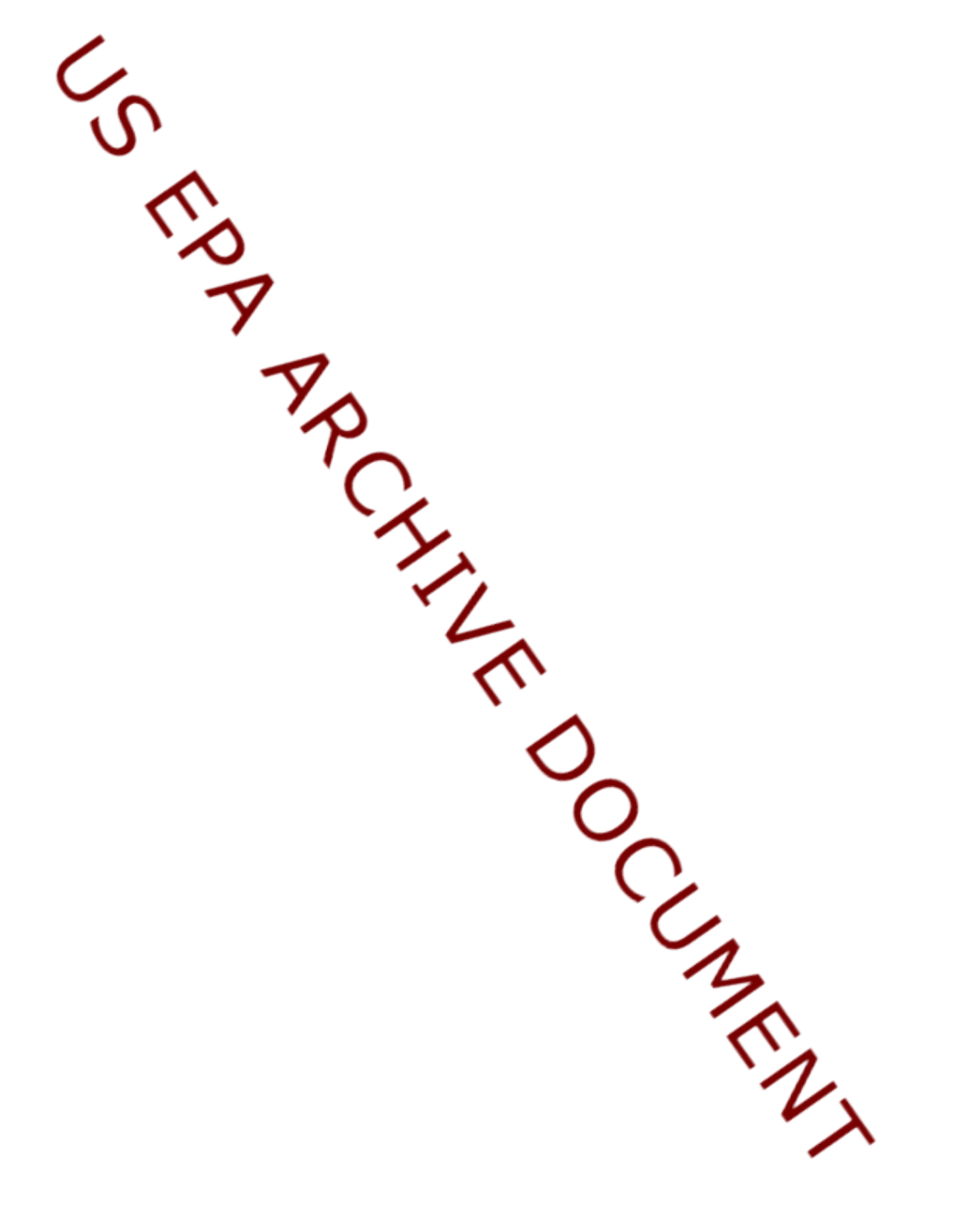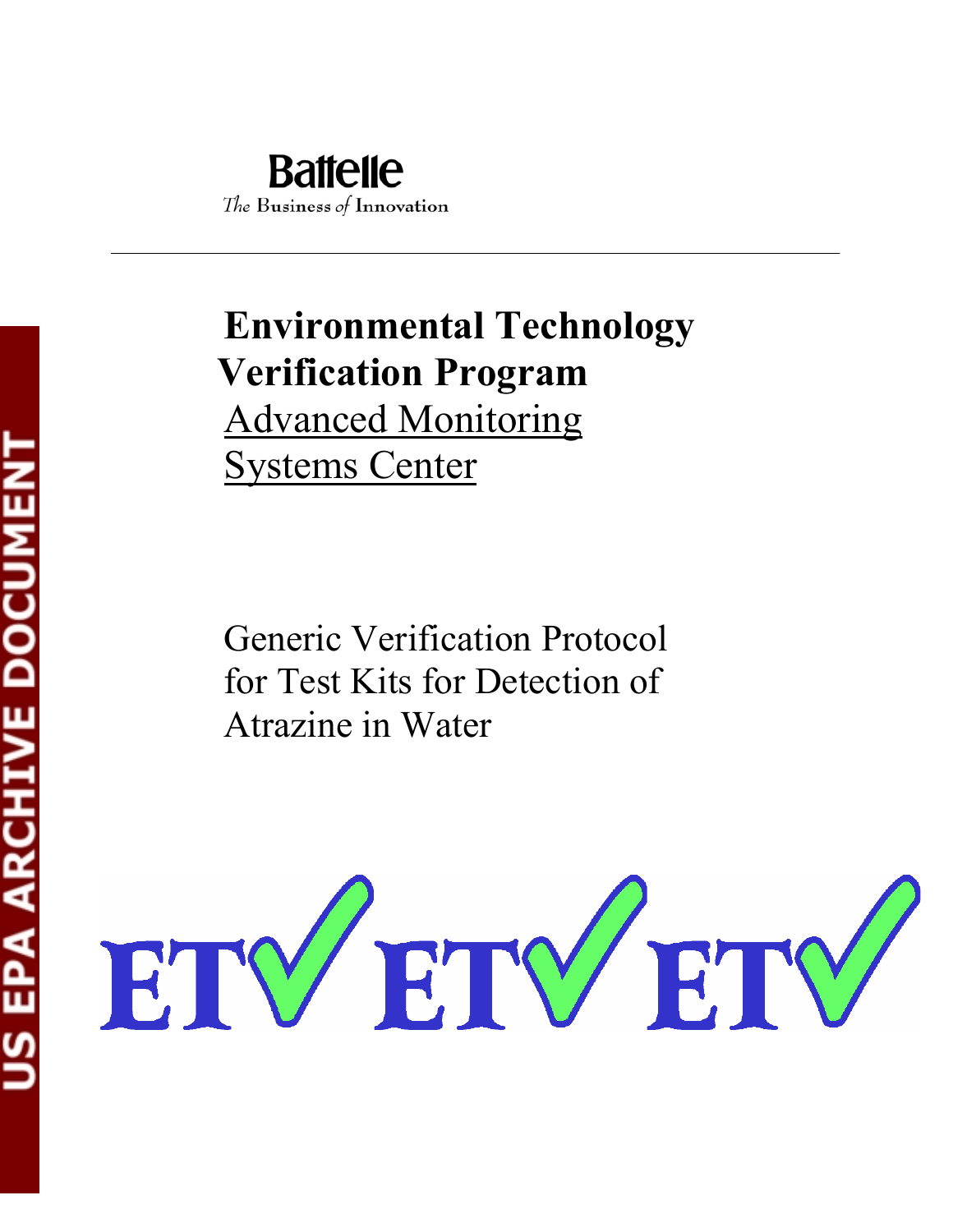# **Environmental Technology Verification Program**  Advanced Monitoring Systems Center

Generic Verification Protocol for Test Kits for Detection of Atrazine in Water

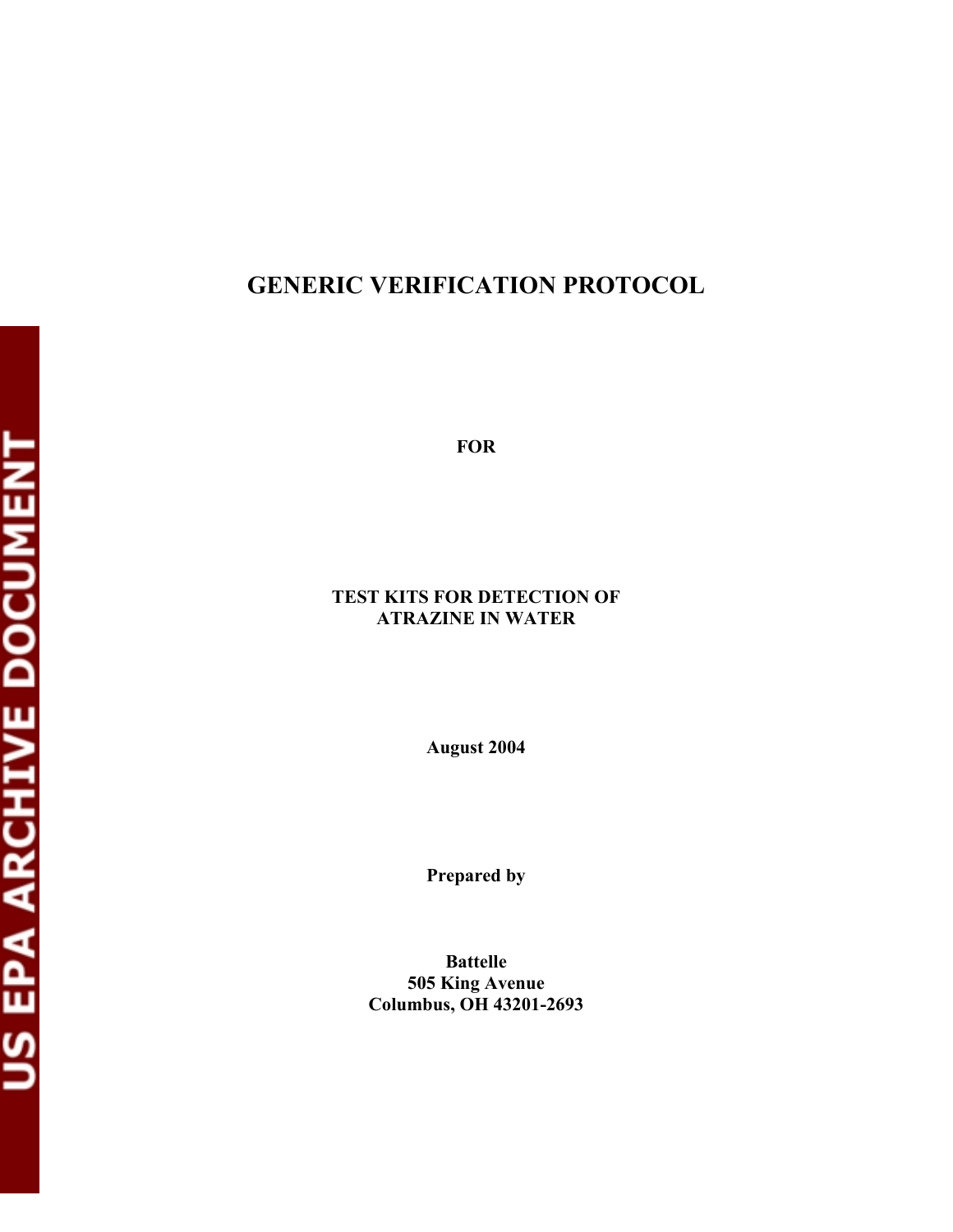# **GENERIC VERIFICATION PROTOCOL**

**FOR** 

#### **TEST KITS FOR DETECTION OF ATRAZINE IN WATER**

**August 2004** 

**Prepared by** 

**Battelle 505 King Avenue Columbus, OH 43201-2693**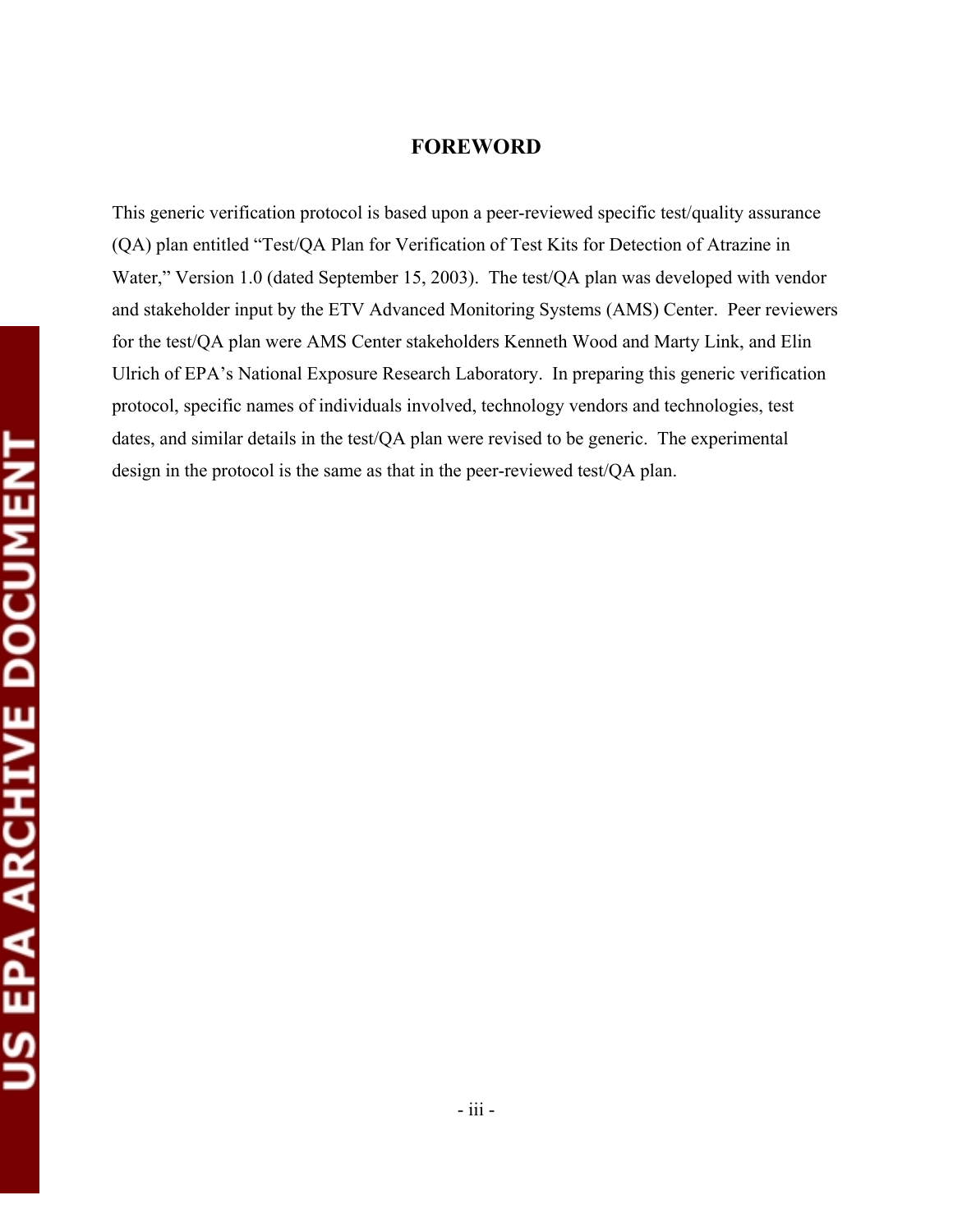### **FOREWORD**

This generic verification protocol is based upon a peer-reviewed specific test/quality assurance (QA) plan entitled "Test/QA Plan for Verification of Test Kits for Detection of Atrazine in Water," Version 1.0 (dated September 15, 2003). The test/QA plan was developed with vendor and stakeholder input by the ETV Advanced Monitoring Systems (AMS) Center. Peer reviewers for the test/QA plan were AMS Center stakeholders Kenneth Wood and Marty Link, and Elin Ulrich of EPA's National Exposure Research Laboratory. In preparing this generic verification protocol, specific names of individuals involved, technology vendors and technologies, test dates, and similar details in the test/QA plan were revised to be generic. The experimental design in the protocol is the same as that in the peer-reviewed test/QA plan.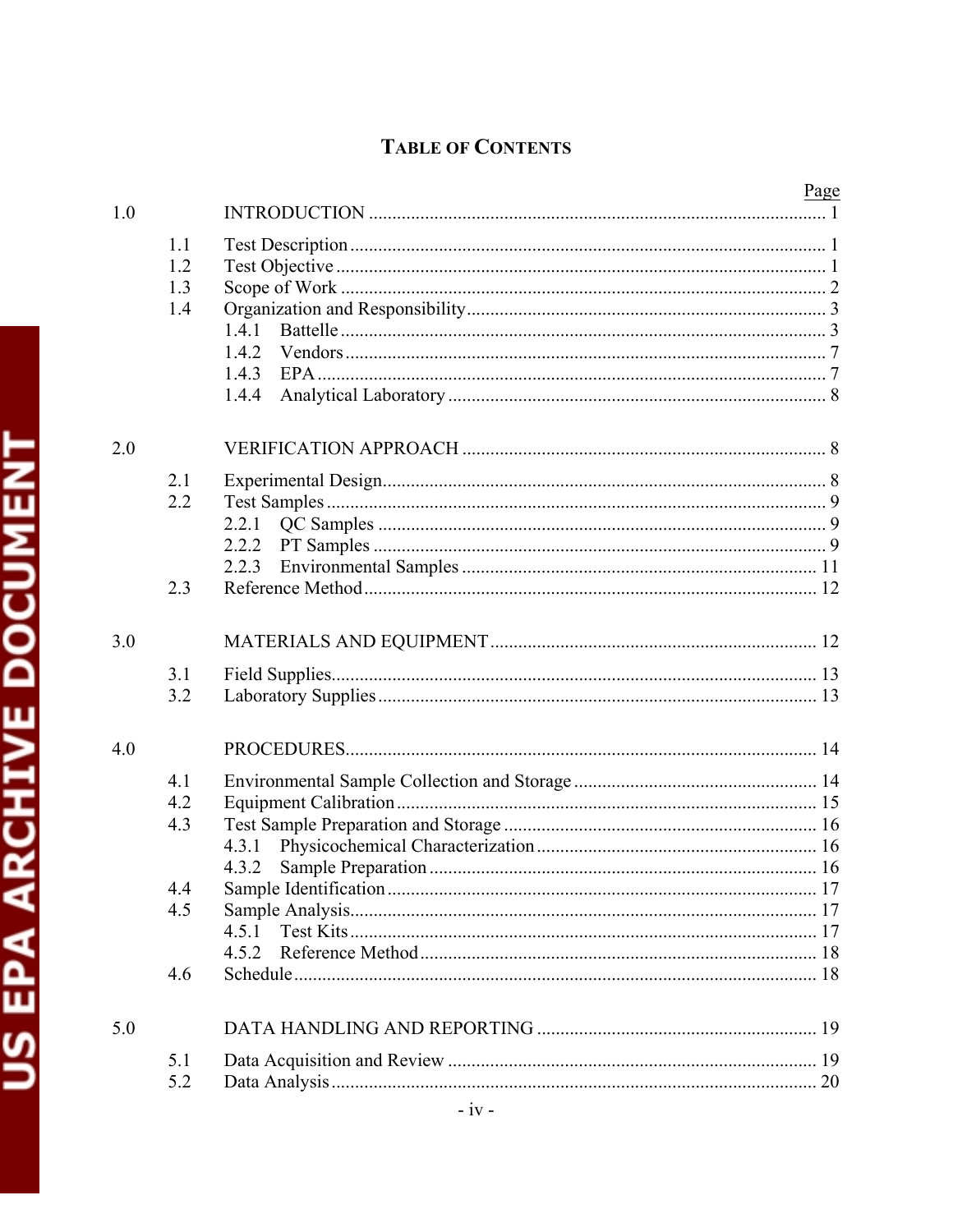# **TABLE OF CONTENTS**

|     |     |       | <u>Page</u> |
|-----|-----|-------|-------------|
| 1.0 |     |       |             |
|     |     |       |             |
|     | 1.1 |       |             |
|     | 1.2 |       |             |
|     | 1.3 |       |             |
|     | 1.4 |       |             |
|     |     | 1.4.1 |             |
|     |     |       |             |
|     |     | 1.4.3 |             |
|     |     | 1.4.4 |             |
|     |     |       |             |
| 2.0 |     |       |             |
|     | 2.1 |       |             |
|     | 2.2 |       |             |
|     |     |       |             |
|     |     |       |             |
|     |     |       |             |
|     |     | 2.2.3 |             |
|     | 2.3 |       |             |
|     |     |       |             |
| 3.0 |     |       |             |
|     | 3.1 |       |             |
|     | 3.2 |       |             |
|     |     |       |             |
| 4.0 |     |       |             |
|     | 4.1 |       |             |
|     | 4.2 |       |             |
|     | 4.3 |       |             |
|     |     |       |             |
|     |     | 4.3.2 |             |
|     |     |       |             |
|     | 4.4 |       |             |
|     | 4.5 |       |             |
|     |     | 4.5.1 |             |
|     |     |       |             |
|     | 4.6 |       |             |
| 5.0 |     |       |             |
|     |     |       |             |
|     | 5.1 |       |             |
|     | 5.2 |       |             |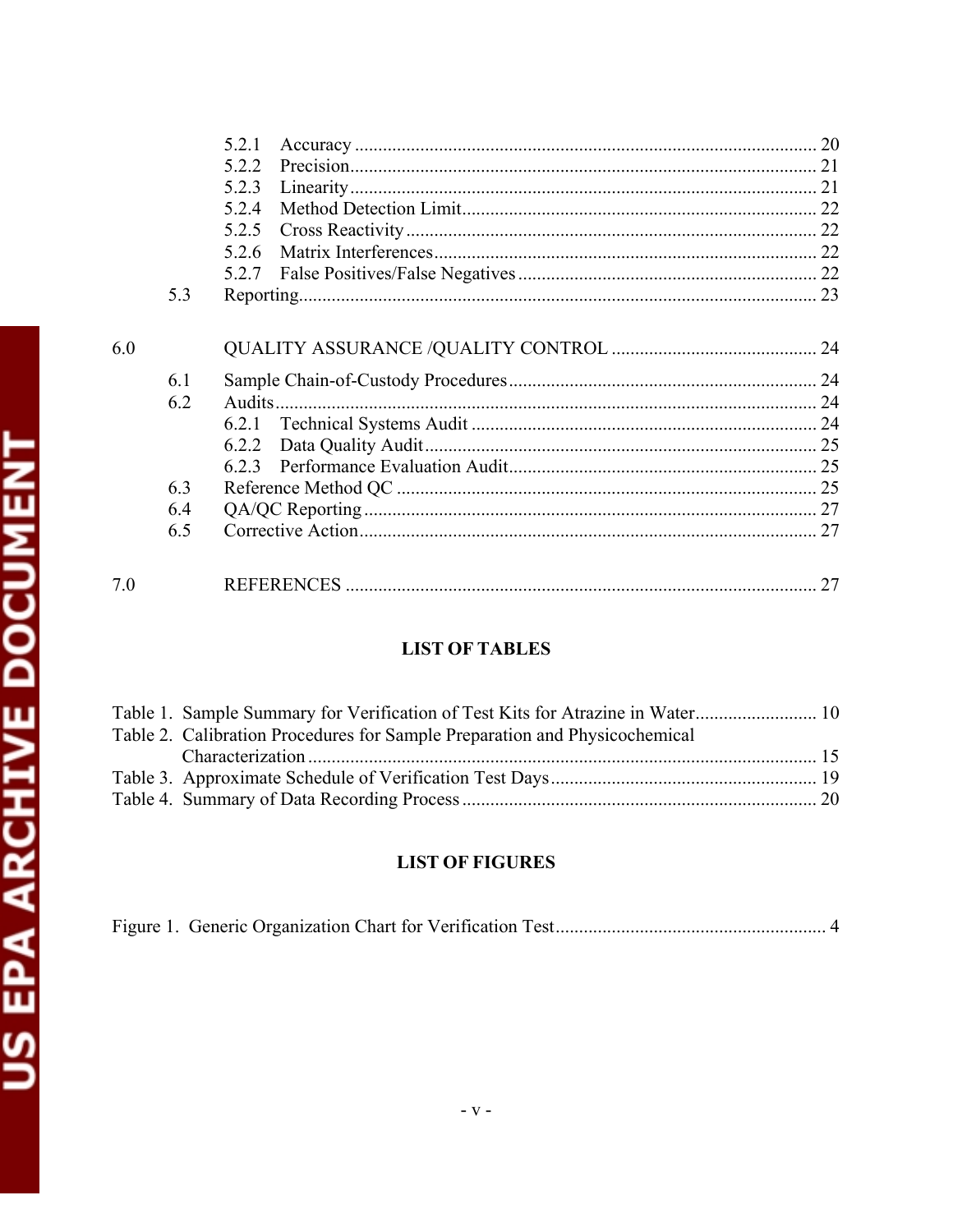|     |            | 5.2.1  |    |
|-----|------------|--------|----|
|     |            | 5.2.2  |    |
|     |            | 5.2.3  |    |
|     |            | 5.2.4  |    |
|     |            | 5.2.5  |    |
|     |            | 5.2.6  |    |
|     |            |        |    |
|     | 5.3        |        |    |
| 6.0 | 6.1<br>6.2 | Audits |    |
|     | 6.3        |        |    |
|     | 6.4        |        |    |
|     | 6.5        |        |    |
| 7.0 |            |        | 27 |

# **LIST OF TABLES**

| Table 1. Sample Summary for Verification of Test Kits for Atrazine in Water 10 |  |
|--------------------------------------------------------------------------------|--|
| Table 2. Calibration Procedures for Sample Preparation and Physicochemical     |  |
|                                                                                |  |
|                                                                                |  |
|                                                                                |  |

# **LIST OF FIGURES**

|--|--|--|--|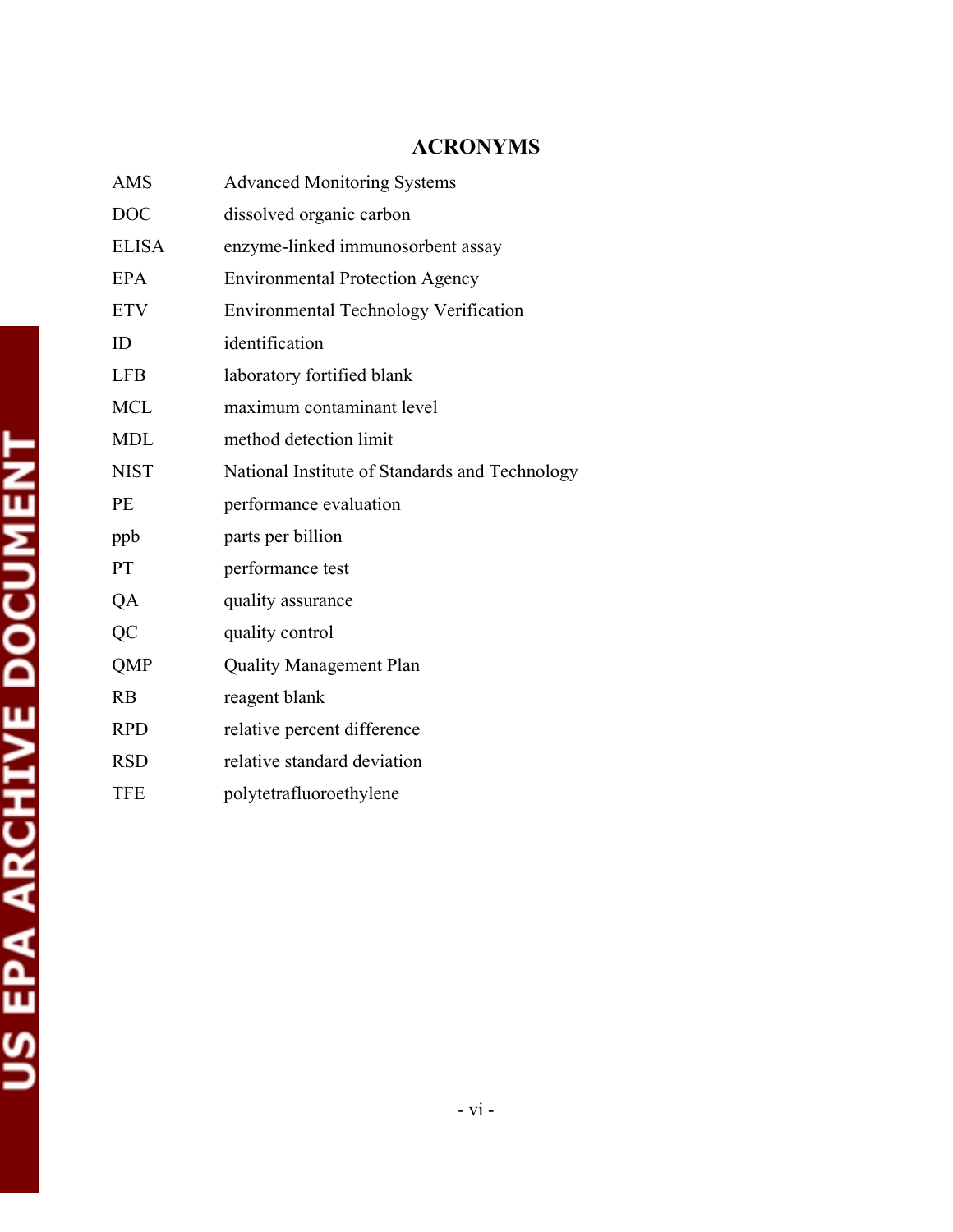# **ACRONYMS**

| AMS          | <b>Advanced Monitoring Systems</b>             |
|--------------|------------------------------------------------|
| <b>DOC</b>   | dissolved organic carbon                       |
| <b>ELISA</b> | enzyme-linked immunosorbent assay              |
| <b>EPA</b>   | <b>Environmental Protection Agency</b>         |
| <b>ETV</b>   | <b>Environmental Technology Verification</b>   |
| ID           | identification                                 |
| <b>LFB</b>   | laboratory fortified blank                     |
| <b>MCL</b>   | maximum contaminant level                      |
| <b>MDL</b>   | method detection limit                         |
| <b>NIST</b>  | National Institute of Standards and Technology |
| PE           | performance evaluation                         |
| ppb          | parts per billion                              |
| <b>PT</b>    | performance test                               |
| QA           | quality assurance                              |
| QC           | quality control                                |
| QMP          | <b>Quality Management Plan</b>                 |
| RB           | reagent blank                                  |
| <b>RPD</b>   | relative percent difference                    |
| <b>RSD</b>   | relative standard deviation                    |
| <b>TFE</b>   | polytetrafluoroethylene                        |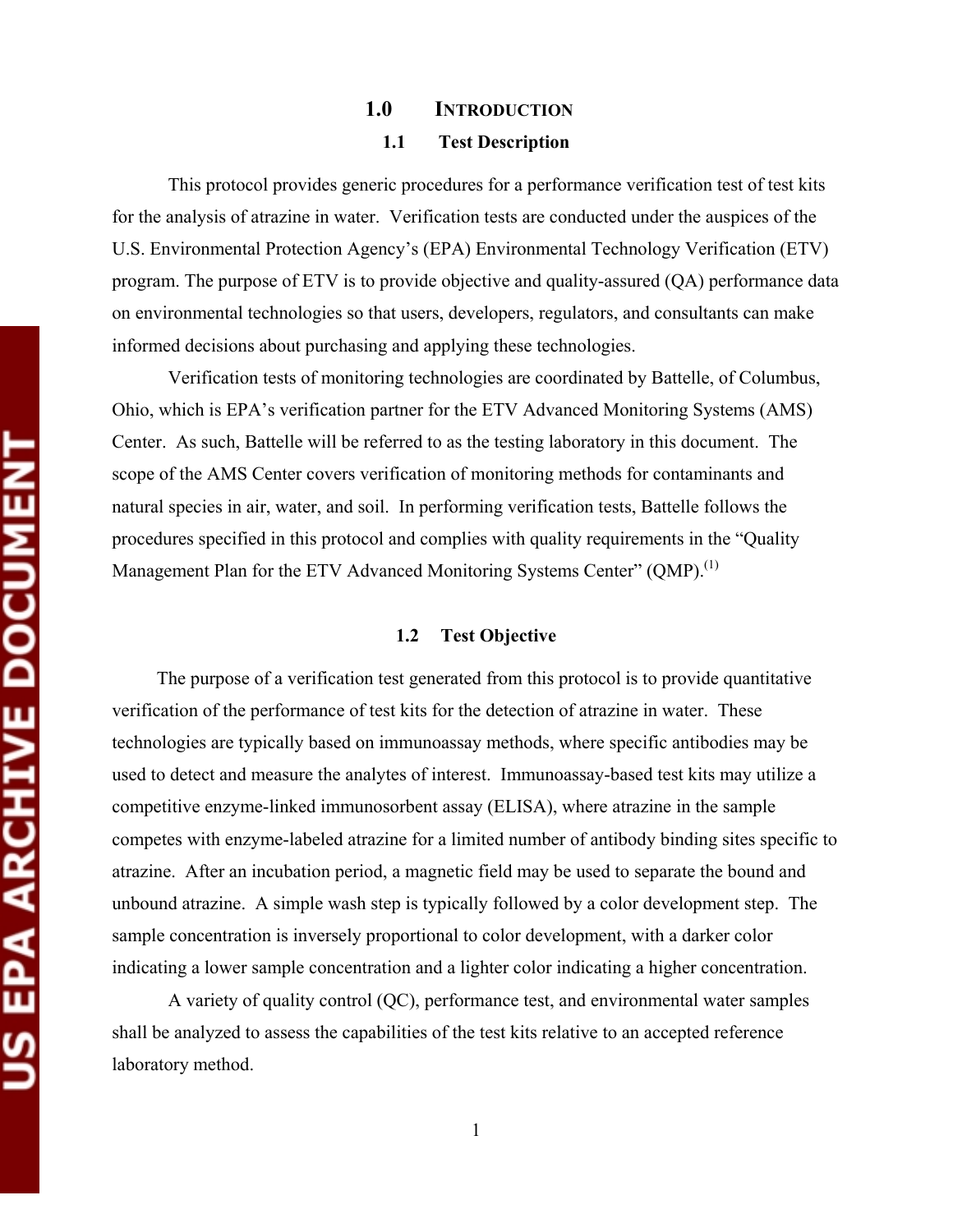# **1.0 INTRODUCTION 1.1 Test Description**

This protocol provides generic procedures for a performance verification test of test kits for the analysis of atrazine in water. Verification tests are conducted under the auspices of the U.S. Environmental Protection Agency's (EPA) Environmental Technology Verification (ETV) program. The purpose of ETV is to provide objective and quality-assured (QA) performance data on environmental technologies so that users, developers, regulators, and consultants can make informed decisions about purchasing and applying these technologies.

Verification tests of monitoring technologies are coordinated by Battelle, of Columbus, Ohio, which is EPA's verification partner for the ETV Advanced Monitoring Systems (AMS) Center. As such, Battelle will be referred to as the testing laboratory in this document. The scope of the AMS Center covers verification of monitoring methods for contaminants and natural species in air, water, and soil. In performing verification tests, Battelle follows the procedures specified in this protocol and complies with quality requirements in the "Quality Management Plan for the ETV Advanced Monitoring Systems Center" (QMP).<sup>(1)</sup>

#### **1.2 Test Objective**

The purpose of a verification test generated from this protocol is to provide quantitative verification of the performance of test kits for the detection of atrazine in water. These technologies are typically based on immunoassay methods, where specific antibodies may be used to detect and measure the analytes of interest. Immunoassay-based test kits may utilize a competitive enzyme-linked immunosorbent assay (ELISA), where atrazine in the sample competes with enzyme-labeled atrazine for a limited number of antibody binding sites specific to atrazine. After an incubation period, a magnetic field may be used to separate the bound and unbound atrazine. A simple wash step is typically followed by a color development step. The sample concentration is inversely proportional to color development, with a darker color indicating a lower sample concentration and a lighter color indicating a higher concentration.

A variety of quality control (QC), performance test, and environmental water samples shall be analyzed to assess the capabilities of the test kits relative to an accepted reference laboratory method.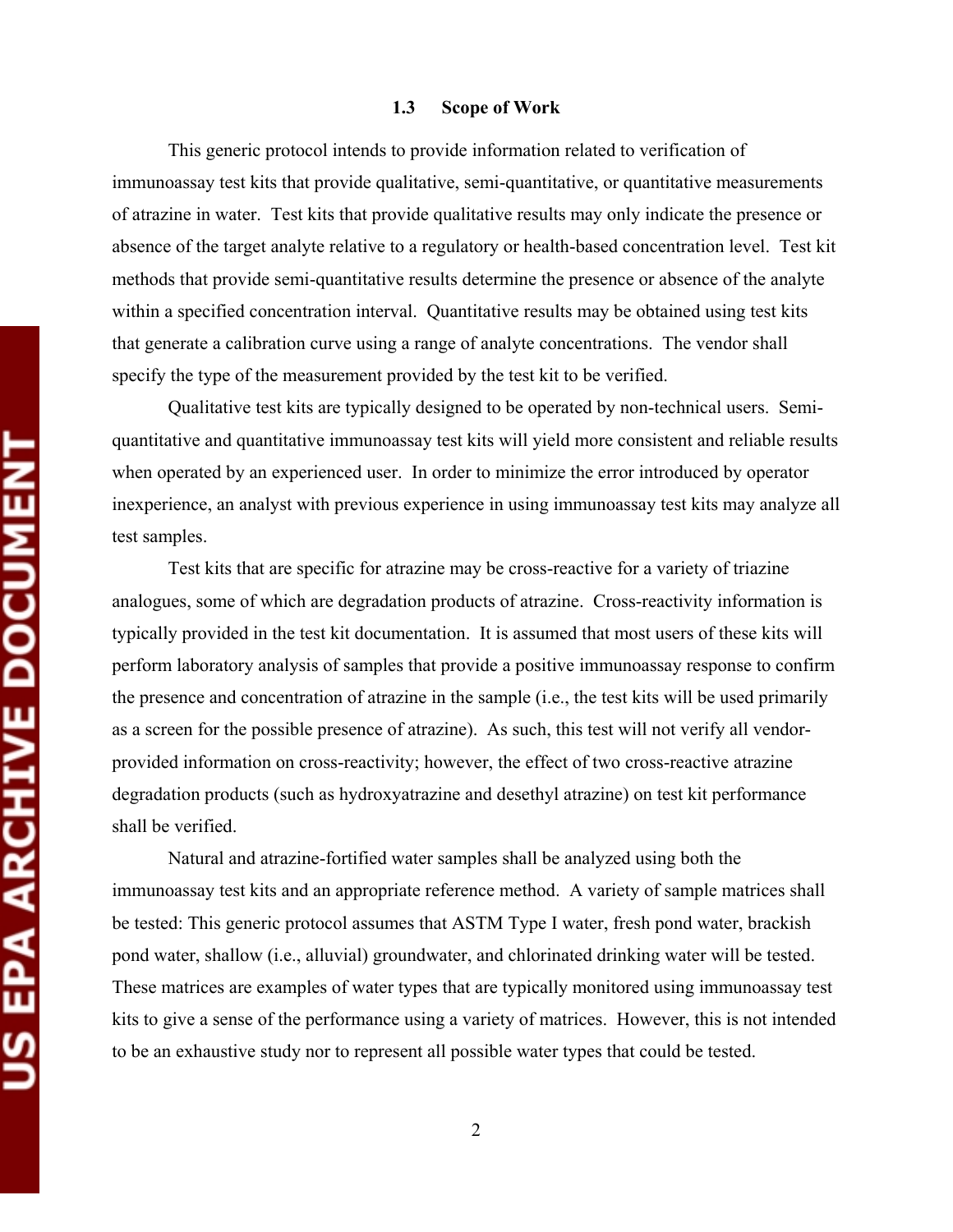#### **1.3 Scope of Work**

This generic protocol intends to provide information related to verification of immunoassay test kits that provide qualitative, semi-quantitative, or quantitative measurements of atrazine in water. Test kits that provide qualitative results may only indicate the presence or absence of the target analyte relative to a regulatory or health-based concentration level. Test kit methods that provide semi-quantitative results determine the presence or absence of the analyte within a specified concentration interval. Quantitative results may be obtained using test kits that generate a calibration curve using a range of analyte concentrations. The vendor shall specify the type of the measurement provided by the test kit to be verified.

Qualitative test kits are typically designed to be operated by non-technical users. Semiquantitative and quantitative immunoassay test kits will yield more consistent and reliable results when operated by an experienced user. In order to minimize the error introduced by operator inexperience, an analyst with previous experience in using immunoassay test kits may analyze all test samples.

Test kits that are specific for atrazine may be cross-reactive for a variety of triazine analogues, some of which are degradation products of atrazine. Cross-reactivity information is typically provided in the test kit documentation. It is assumed that most users of these kits will perform laboratory analysis of samples that provide a positive immunoassay response to confirm the presence and concentration of atrazine in the sample (i.e., the test kits will be used primarily as a screen for the possible presence of atrazine). As such, this test will not verify all vendorprovided information on cross-reactivity; however, the effect of two cross-reactive atrazine degradation products (such as hydroxyatrazine and desethyl atrazine) on test kit performance shall be verified.

Natural and atrazine-fortified water samples shall be analyzed using both the immunoassay test kits and an appropriate reference method. A variety of sample matrices shall be tested: This generic protocol assumes that ASTM Type I water, fresh pond water, brackish pond water, shallow (i.e., alluvial) groundwater, and chlorinated drinking water will be tested. These matrices are examples of water types that are typically monitored using immunoassay test kits to give a sense of the performance using a variety of matrices. However, this is not intended to be an exhaustive study nor to represent all possible water types that could be tested.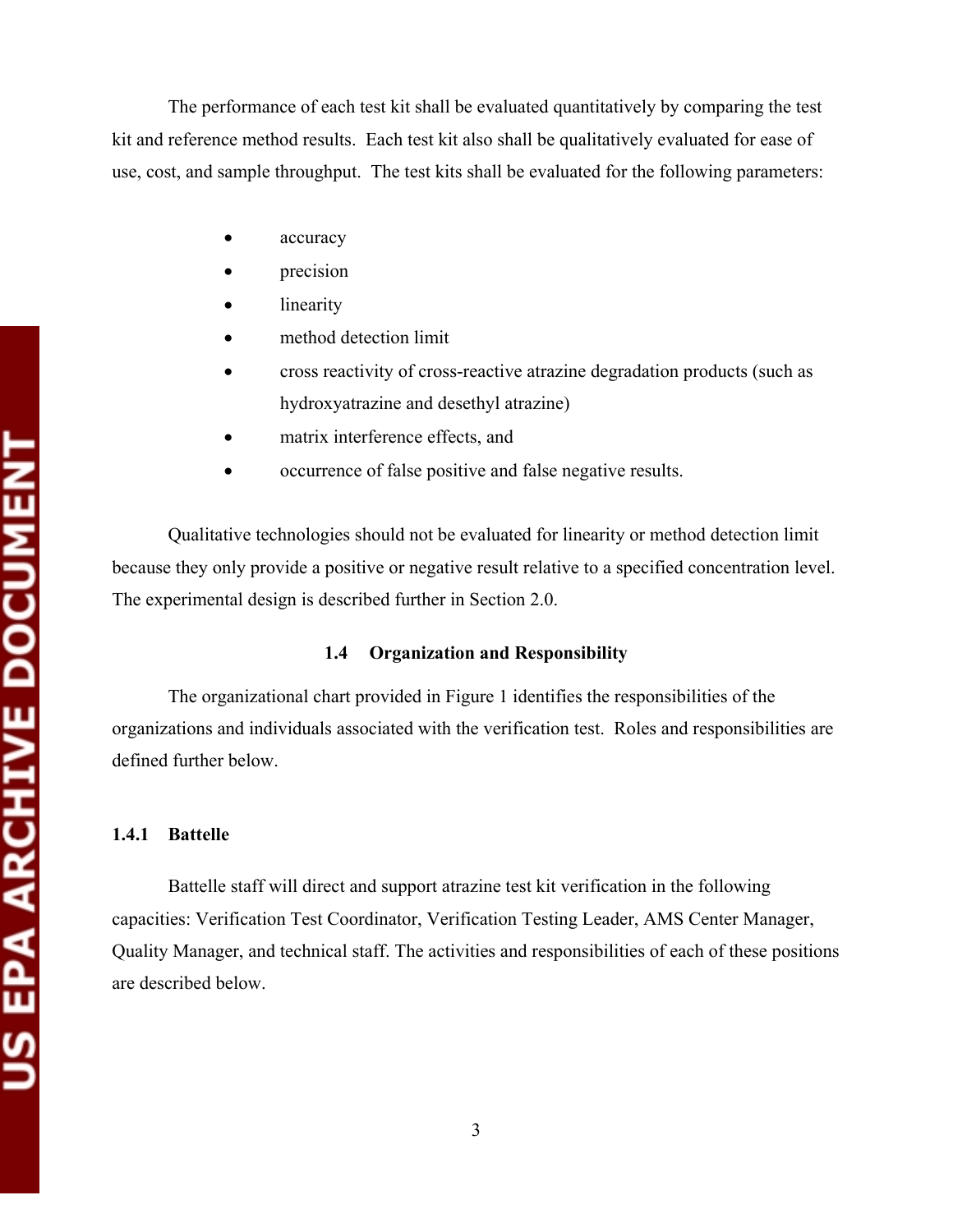The performance of each test kit shall be evaluated quantitatively by comparing the test kit and reference method results. Each test kit also shall be qualitatively evaluated for ease of use, cost, and sample throughput. The test kits shall be evaluated for the following parameters:

- accuracy
- precision
- linearity
- method detection limit
- cross reactivity of cross-reactive atrazine degradation products (such as hydroxyatrazine and desethyl atrazine)
- matrix interference effects, and
- occurrence of false positive and false negative results.

Qualitative technologies should not be evaluated for linearity or method detection limit because they only provide a positive or negative result relative to a specified concentration level. The experimental design is described further in Section 2.0.

#### **1.4 Organization and Responsibility**

The organizational chart provided in Figure 1 identifies the responsibilities of the organizations and individuals associated with the verification test. Roles and responsibilities are defined further below.

#### **1.4.1 Battelle**

Battelle staff will direct and support atrazine test kit verification in the following capacities: Verification Test Coordinator, Verification Testing Leader, AMS Center Manager, Quality Manager, and technical staff. The activities and responsibilities of each of these positions are described below.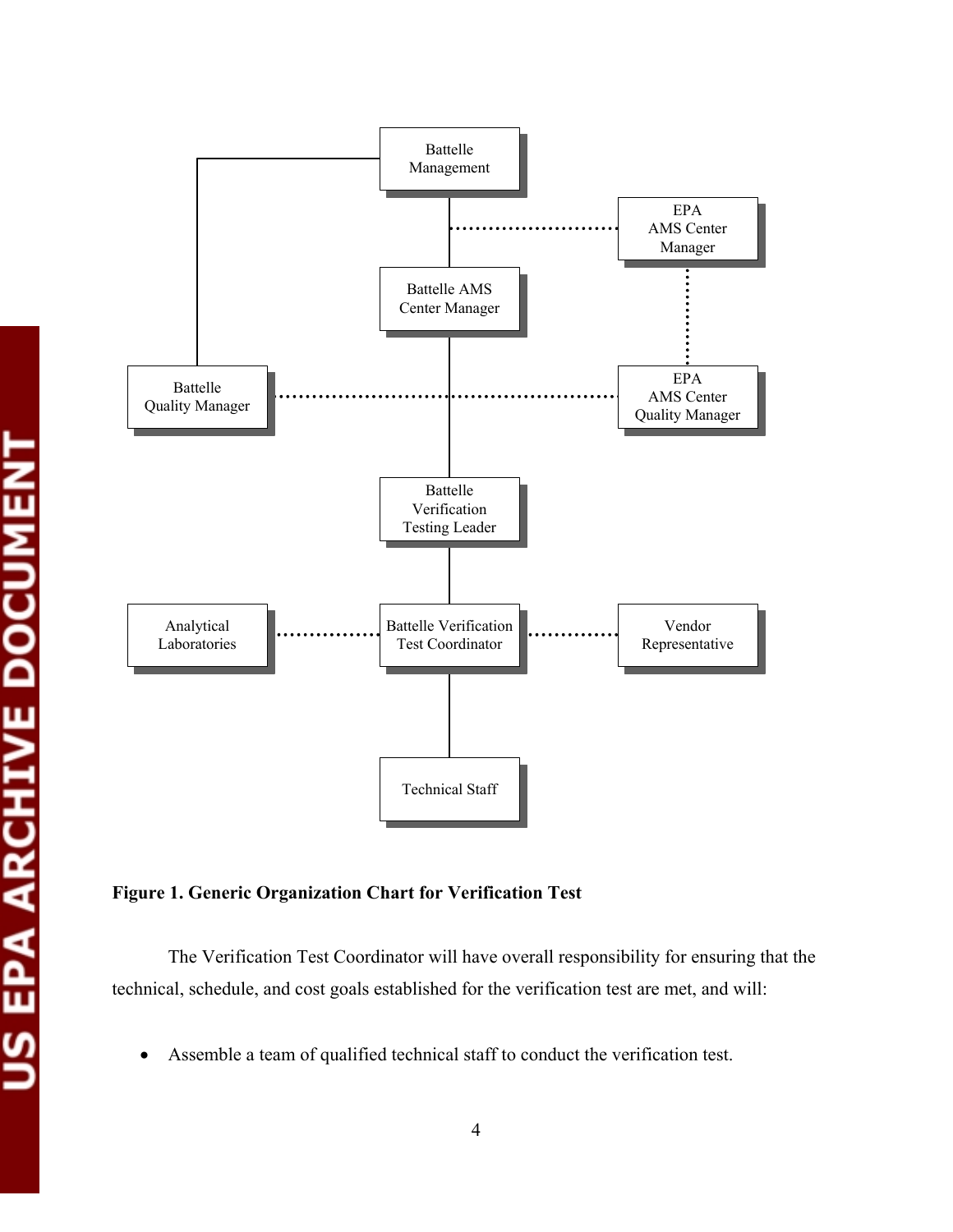



**Figure 1. Generic Organization Chart for Verification Test** 

The Verification Test Coordinator will have overall responsibility for ensuring that the technical, schedule, and cost goals established for the verification test are met, and will:

• Assemble a team of qualified technical staff to conduct the verification test.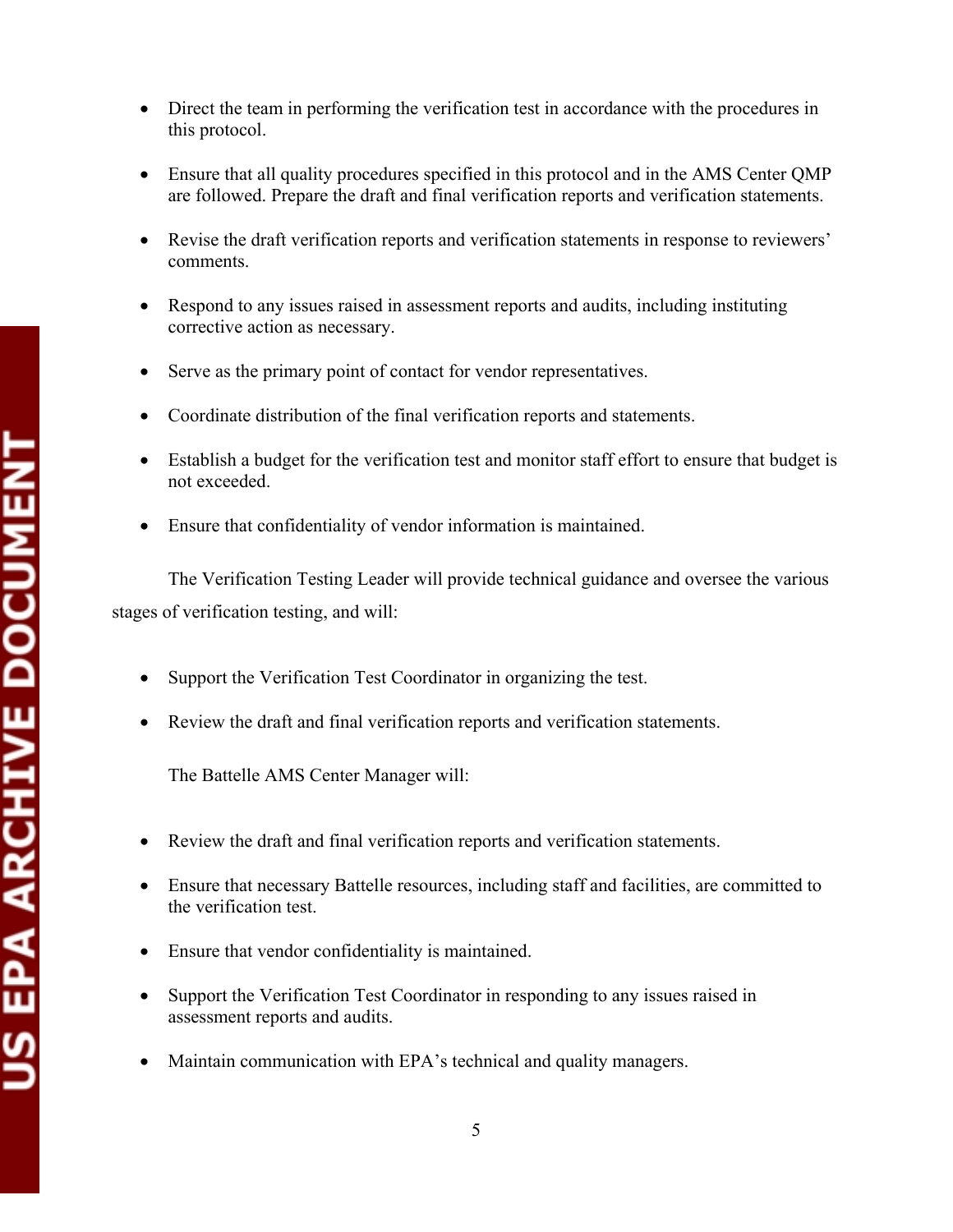- Direct the team in performing the verification test in accordance with the procedures in this protocol.
- Ensure that all quality procedures specified in this protocol and in the AMS Center QMP are followed. Prepare the draft and final verification reports and verification statements.
- Revise the draft verification reports and verification statements in response to reviewers' comments.
- Respond to any issues raised in assessment reports and audits, including instituting corrective action as necessary.
- Serve as the primary point of contact for vendor representatives.
- Coordinate distribution of the final verification reports and statements.
- Establish a budget for the verification test and monitor staff effort to ensure that budget is not exceeded.
- Ensure that confidentiality of vendor information is maintained.

The Verification Testing Leader will provide technical guidance and oversee the various stages of verification testing, and will:

- Support the Verification Test Coordinator in organizing the test.
- Review the draft and final verification reports and verification statements.

The Battelle AMS Center Manager will:

- Review the draft and final verification reports and verification statements.
- Ensure that necessary Battelle resources, including staff and facilities, are committed to the verification test.
- Ensure that vendor confidentiality is maintained.
- Support the Verification Test Coordinator in responding to any issues raised in assessment reports and audits.
- Maintain communication with EPA's technical and quality managers.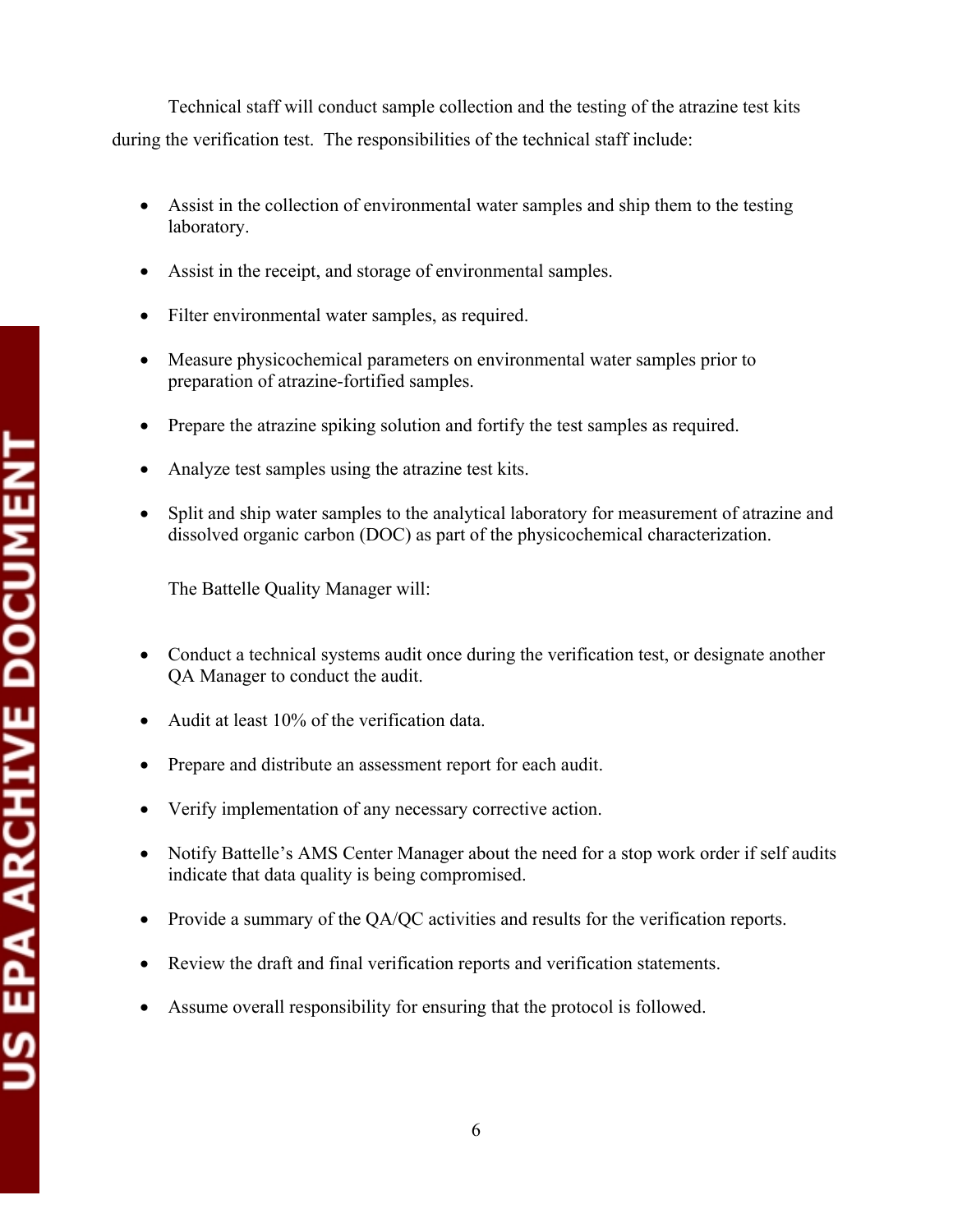Technical staff will conduct sample collection and the testing of the atrazine test kits during the verification test. The responsibilities of the technical staff include:

- Assist in the collection of environmental water samples and ship them to the testing laboratory.
- Assist in the receipt, and storage of environmental samples.
- Filter environmental water samples, as required.
- Measure physicochemical parameters on environmental water samples prior to preparation of atrazine-fortified samples.
- Prepare the atrazine spiking solution and fortify the test samples as required.
- Analyze test samples using the atrazine test kits.
- Split and ship water samples to the analytical laboratory for measurement of atrazine and dissolved organic carbon (DOC) as part of the physicochemical characterization.

The Battelle Quality Manager will:

- Conduct a technical systems audit once during the verification test, or designate another QA Manager to conduct the audit.
- Audit at least 10% of the verification data.
- Prepare and distribute an assessment report for each audit.
- Verify implementation of any necessary corrective action.
- Notify Battelle's AMS Center Manager about the need for a stop work order if self audits indicate that data quality is being compromised.
- Provide a summary of the QA/QC activities and results for the verification reports.
- Review the draft and final verification reports and verification statements.
- Assume overall responsibility for ensuring that the protocol is followed.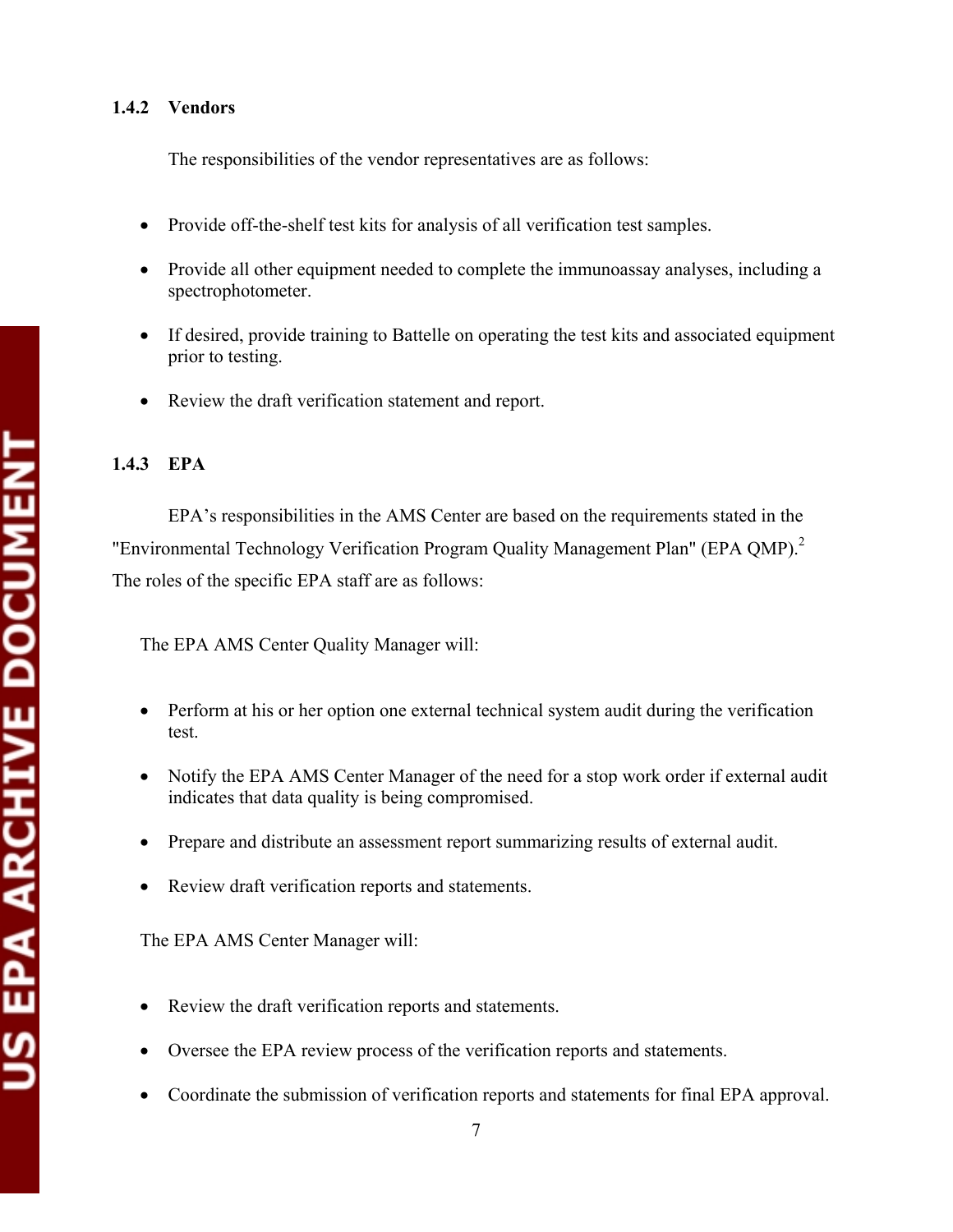### **1.4.2 Vendors**

The responsibilities of the vendor representatives are as follows:

- Provide off-the-shelf test kits for analysis of all verification test samples.
- Provide all other equipment needed to complete the immunoassay analyses, including a spectrophotometer.
- If desired, provide training to Battelle on operating the test kits and associated equipment prior to testing.
- Review the draft verification statement and report.

# **1.4.3 EPA**

EPA's responsibilities in the AMS Center are based on the requirements stated in the "Environmental Technology Verification Program Quality Management Plan" (EPA QMP).<sup>2</sup> The roles of the specific EPA staff are as follows:

The EPA AMS Center Quality Manager will:

- Perform at his or her option one external technical system audit during the verification test.
- Notify the EPA AMS Center Manager of the need for a stop work order if external audit indicates that data quality is being compromised.
- Prepare and distribute an assessment report summarizing results of external audit.
- Review draft verification reports and statements.

# The EPA AMS Center Manager will:

- Review the draft verification reports and statements.
- Oversee the EPA review process of the verification reports and statements.
- Coordinate the submission of verification reports and statements for final EPA approval.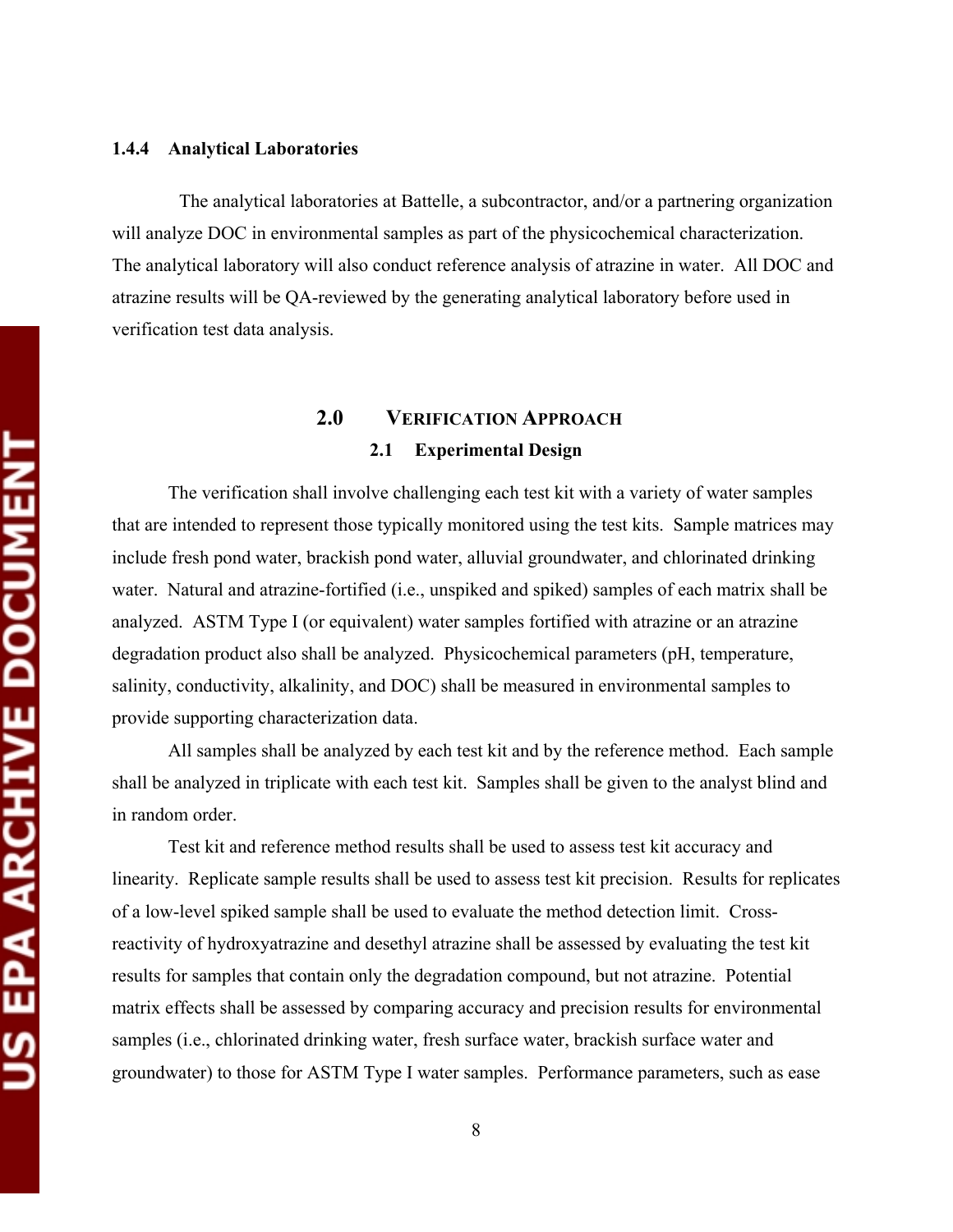#### **1.4.4 Analytical Laboratories**

The analytical laboratories at Battelle, a subcontractor, and/or a partnering organization will analyze DOC in environmental samples as part of the physicochemical characterization. The analytical laboratory will also conduct reference analysis of atrazine in water. All DOC and atrazine results will be QA-reviewed by the generating analytical laboratory before used in verification test data analysis.

# **2.0 VERIFICATION APPROACH 2.1 Experimental Design**

The verification shall involve challenging each test kit with a variety of water samples that are intended to represent those typically monitored using the test kits. Sample matrices may include fresh pond water, brackish pond water, alluvial groundwater, and chlorinated drinking water. Natural and atrazine-fortified (i.e., unspiked and spiked) samples of each matrix shall be analyzed. ASTM Type I (or equivalent) water samples fortified with atrazine or an atrazine degradation product also shall be analyzed. Physicochemical parameters (pH, temperature, salinity, conductivity, alkalinity, and DOC) shall be measured in environmental samples to provide supporting characterization data.

All samples shall be analyzed by each test kit and by the reference method. Each sample shall be analyzed in triplicate with each test kit. Samples shall be given to the analyst blind and in random order.

Test kit and reference method results shall be used to assess test kit accuracy and linearity. Replicate sample results shall be used to assess test kit precision. Results for replicates of a low-level spiked sample shall be used to evaluate the method detection limit. Crossreactivity of hydroxyatrazine and desethyl atrazine shall be assessed by evaluating the test kit results for samples that contain only the degradation compound, but not atrazine. Potential matrix effects shall be assessed by comparing accuracy and precision results for environmental samples (i.e., chlorinated drinking water, fresh surface water, brackish surface water and groundwater) to those for ASTM Type I water samples. Performance parameters, such as ease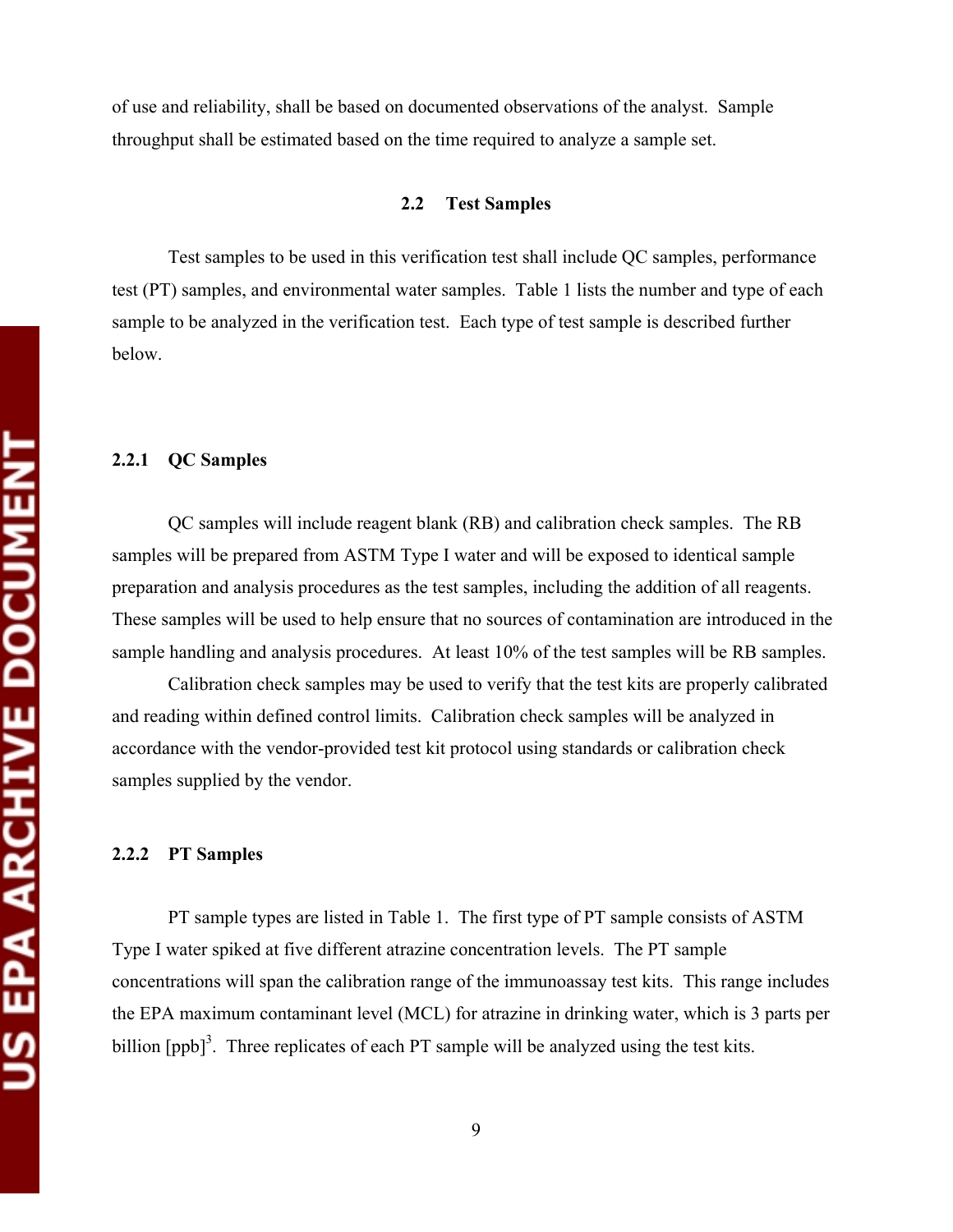US EPA ARCHIVE DOCUMENT

of use and reliability, shall be based on documented observations of the analyst. Sample throughput shall be estimated based on the time required to analyze a sample set.

#### **2.2 Test Samples**

Test samples to be used in this verification test shall include QC samples, performance test (PT) samples, and environmental water samples. Table 1 lists the number and type of each sample to be analyzed in the verification test. Each type of test sample is described further below.

#### **2.2.1 QC Samples**

QC samples will include reagent blank (RB) and calibration check samples. The RB samples will be prepared from ASTM Type I water and will be exposed to identical sample preparation and analysis procedures as the test samples, including the addition of all reagents. These samples will be used to help ensure that no sources of contamination are introduced in the sample handling and analysis procedures. At least 10% of the test samples will be RB samples.

Calibration check samples may be used to verify that the test kits are properly calibrated and reading within defined control limits. Calibration check samples will be analyzed in accordance with the vendor-provided test kit protocol using standards or calibration check samples supplied by the vendor.

#### **2.2.2 PT Samples**

PT sample types are listed in Table 1. The first type of PT sample consists of ASTM Type I water spiked at five different atrazine concentration levels. The PT sample concentrations will span the calibration range of the immunoassay test kits. This range includes the EPA maximum contaminant level (MCL) for atrazine in drinking water, which is 3 parts per billion  $[ppb]$ <sup>3</sup>. Three replicates of each PT sample will be analyzed using the test kits.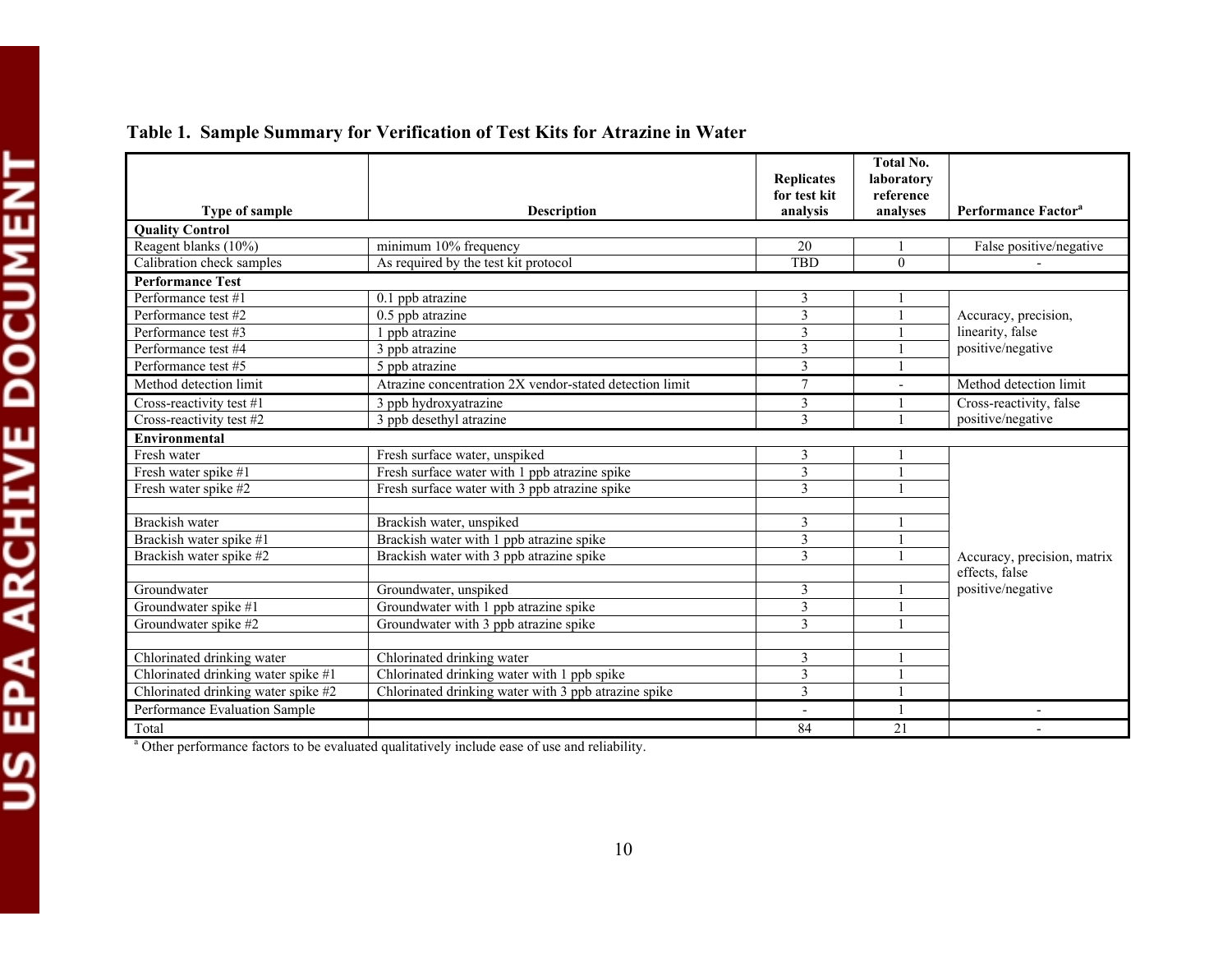|                                                                                    |                                                         | Replicates<br>for test kit | <b>Total No.</b><br>laboratory<br>reference |                                 |
|------------------------------------------------------------------------------------|---------------------------------------------------------|----------------------------|---------------------------------------------|---------------------------------|
| Type of sample                                                                     | <b>Description</b>                                      | analysis                   | analyses                                    | Performance Factor <sup>a</sup> |
| <b>Quality Control</b>                                                             |                                                         |                            |                                             |                                 |
| Reagent blanks (10%)                                                               | minimum 10% frequency                                   | 20                         |                                             | False positive/negative         |
| Calibration check samples                                                          | As required by the test kit protocol                    | <b>TBD</b>                 | $\Omega$                                    |                                 |
| <b>Performance Test</b>                                                            |                                                         |                            |                                             |                                 |
| Performance test #1                                                                | $0.1$ ppb atrazine                                      | 3                          |                                             |                                 |
| Performance test #2                                                                | $0.5$ ppb atrazine                                      | 3                          |                                             | Accuracy, precision,            |
| Performance test #3                                                                | 1 ppb atrazine                                          | 3                          |                                             | linearity, false                |
| Performance test #4                                                                | 3 ppb atrazine                                          | 3                          |                                             | positive/negative               |
| Performance test #5                                                                | 5 ppb atrazine                                          | 3                          |                                             |                                 |
| Method detection limit                                                             | Atrazine concentration 2X vendor-stated detection limit | $\overline{7}$             |                                             | Method detection limit          |
| Cross-reactivity test #1                                                           | 3 ppb hydroxyatrazine                                   | 3                          |                                             | Cross-reactivity, false         |
| Cross-reactivity test #2                                                           | 3 ppb desethyl atrazine                                 | 3                          |                                             | positive/negative               |
| <b>Environmental</b>                                                               |                                                         |                            |                                             |                                 |
| Fresh water                                                                        | Fresh surface water, unspiked                           | 3                          |                                             |                                 |
| Fresh water spike #1                                                               | Fresh surface water with 1 ppb atrazine spike           | 3                          |                                             |                                 |
| Fresh water spike #2                                                               | Fresh surface water with 3 ppb atrazine spike           | 3                          |                                             |                                 |
|                                                                                    |                                                         |                            |                                             |                                 |
| Brackish water<br>Brackish water, unspiked                                         |                                                         | 3                          |                                             |                                 |
| Brackish water spike #1                                                            | Brackish water with 1 ppb atrazine spike                | 3                          |                                             |                                 |
| Brackish water spike #2                                                            | Brackish water with 3 ppb atrazine spike                | 3                          |                                             | Accuracy, precision, matrix     |
|                                                                                    |                                                         |                            |                                             | effects, false                  |
| Groundwater                                                                        | Groundwater, unspiked                                   | 3                          |                                             | positive/negative               |
| Groundwater spike #1                                                               | Groundwater with 1 ppb atrazine spike                   | $\overline{\mathbf{3}}$    |                                             |                                 |
| Groundwater spike #2<br>Groundwater with 3 ppb atrazine spike                      |                                                         | 3                          |                                             |                                 |
|                                                                                    |                                                         |                            |                                             |                                 |
| Chlorinated drinking water                                                         | Chlorinated drinking water                              | 3                          |                                             |                                 |
| Chlorinated drinking water spike #1<br>Chlorinated drinking water with 1 ppb spike |                                                         | 3                          |                                             |                                 |
| Chlorinated drinking water spike #2                                                | Chlorinated drinking water with 3 ppb atrazine spike    | 3                          |                                             |                                 |
| Performance Evaluation Sample                                                      |                                                         |                            |                                             |                                 |
| Total                                                                              |                                                         | 84                         | 21                                          |                                 |

# **Table 1. Sample Summary for Verification of Test Kits for Atrazine in Water**

<sup>a</sup> Other performance factors to be evaluated qualitatively include ease of use and reliability.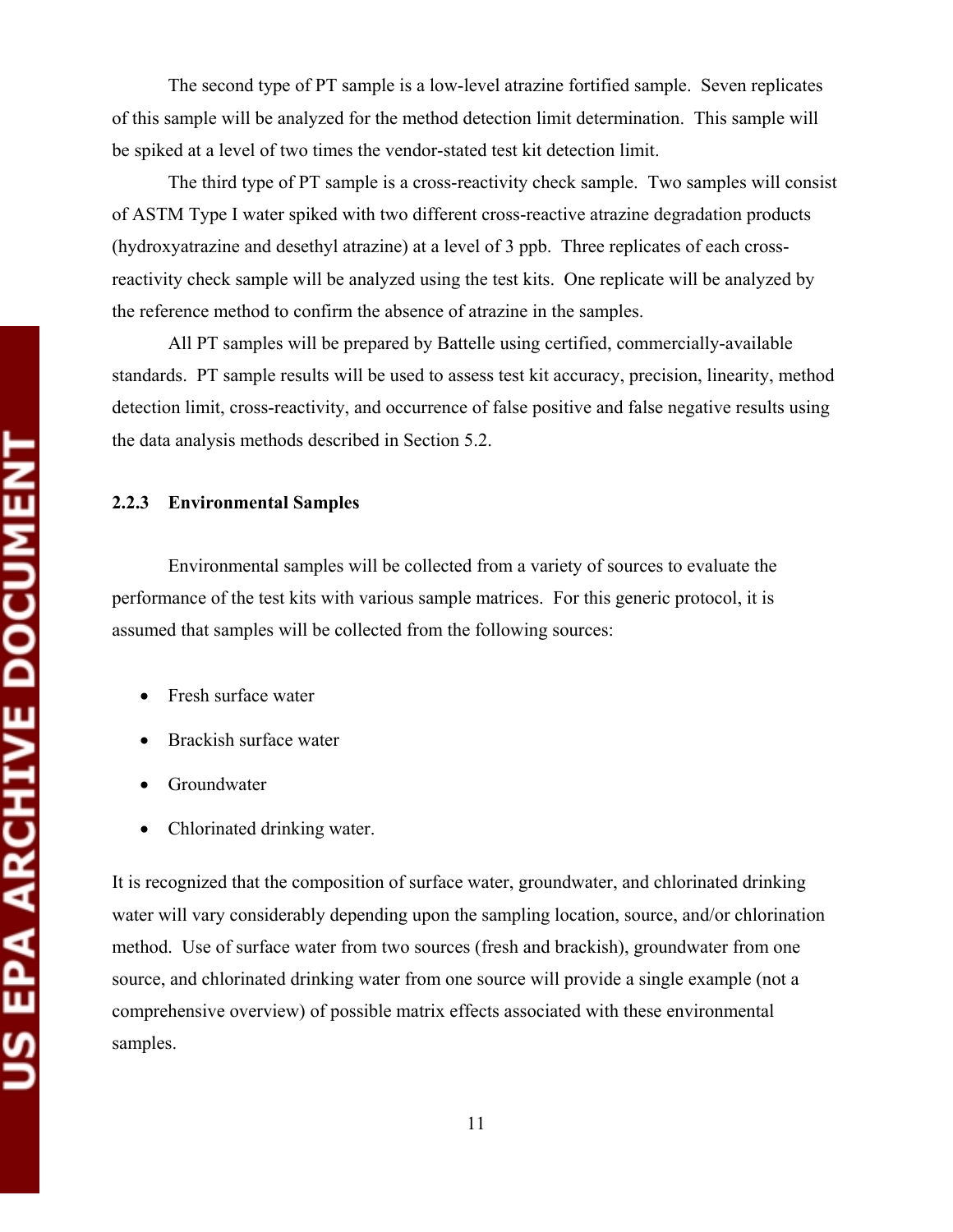The second type of PT sample is a low-level atrazine fortified sample. Seven replicates of this sample will be analyzed for the method detection limit determination. This sample will be spiked at a level of two times the vendor-stated test kit detection limit.

The third type of PT sample is a cross-reactivity check sample. Two samples will consist of ASTM Type I water spiked with two different cross-reactive atrazine degradation products (hydroxyatrazine and desethyl atrazine) at a level of 3 ppb. Three replicates of each crossreactivity check sample will be analyzed using the test kits. One replicate will be analyzed by the reference method to confirm the absence of atrazine in the samples.

All PT samples will be prepared by Battelle using certified, commercially-available standards. PT sample results will be used to assess test kit accuracy, precision, linearity, method detection limit, cross-reactivity, and occurrence of false positive and false negative results using the data analysis methods described in Section 5.2.

#### **2.2.3 Environmental Samples**

Environmental samples will be collected from a variety of sources to evaluate the performance of the test kits with various sample matrices. For this generic protocol, it is assumed that samples will be collected from the following sources:

- Fresh surface water
- Brackish surface water
- Groundwater
- Chlorinated drinking water.

It is recognized that the composition of surface water, groundwater, and chlorinated drinking water will vary considerably depending upon the sampling location, source, and/or chlorination method. Use of surface water from two sources (fresh and brackish), groundwater from one source, and chlorinated drinking water from one source will provide a single example (not a comprehensive overview) of possible matrix effects associated with these environmental samples.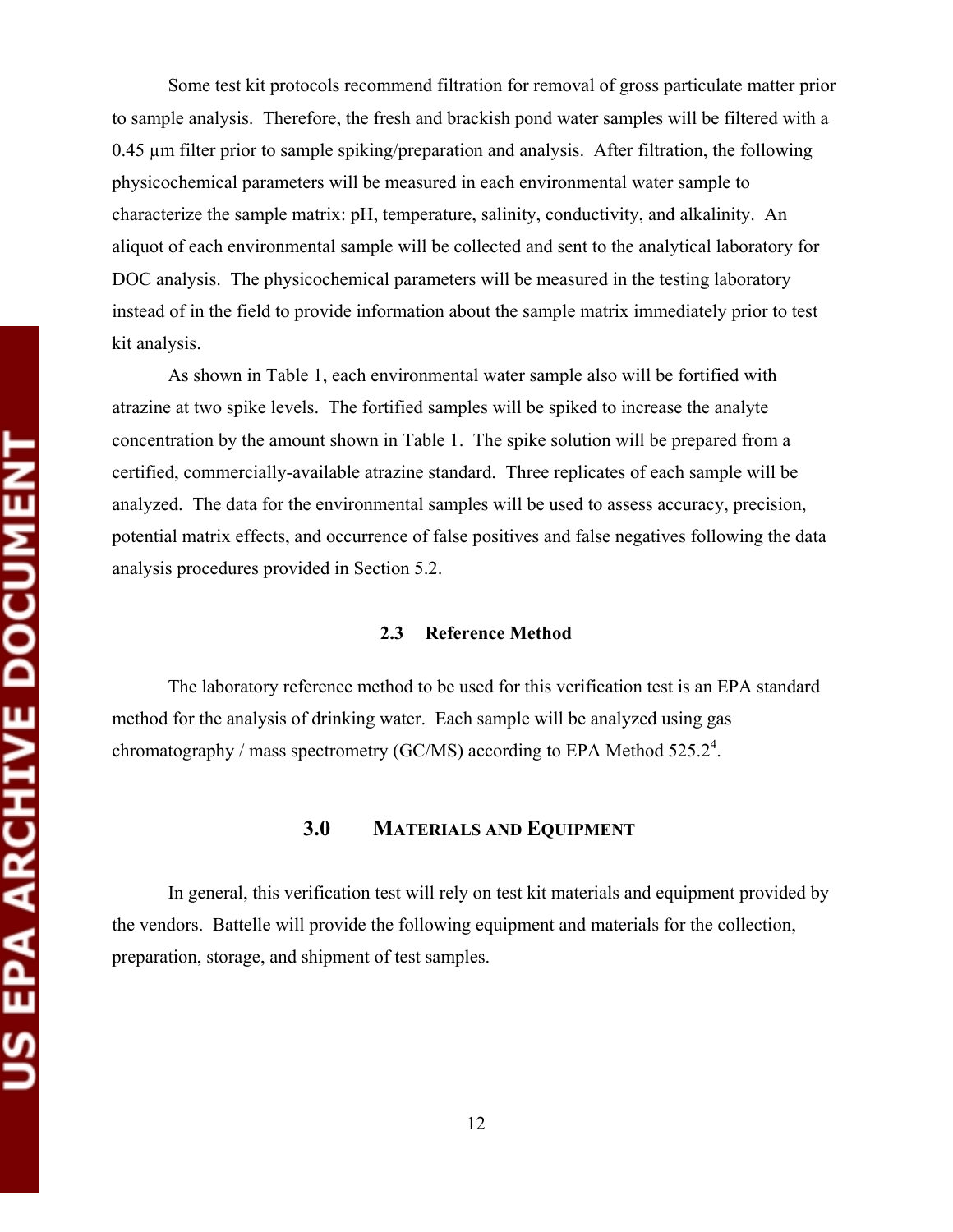Some test kit protocols recommend filtration for removal of gross particulate matter prior to sample analysis. Therefore, the fresh and brackish pond water samples will be filtered with a 0.45 µm filter prior to sample spiking/preparation and analysis. After filtration, the following physicochemical parameters will be measured in each environmental water sample to characterize the sample matrix: pH, temperature, salinity, conductivity, and alkalinity. An aliquot of each environmental sample will be collected and sent to the analytical laboratory for DOC analysis. The physicochemical parameters will be measured in the testing laboratory instead of in the field to provide information about the sample matrix immediately prior to test kit analysis.

As shown in Table 1, each environmental water sample also will be fortified with atrazine at two spike levels. The fortified samples will be spiked to increase the analyte concentration by the amount shown in Table 1. The spike solution will be prepared from a certified, commercially-available atrazine standard. Three replicates of each sample will be analyzed. The data for the environmental samples will be used to assess accuracy, precision, potential matrix effects, and occurrence of false positives and false negatives following the data analysis procedures provided in Section 5.2.

#### **2.3 Reference Method**

The laboratory reference method to be used for this verification test is an EPA standard method for the analysis of drinking water. Each sample will be analyzed using gas chromatography / mass spectrometry (GC/MS) according to EPA Method 525.2<sup>4</sup>.

#### **3.0 MATERIALS AND EQUIPMENT**

In general, this verification test will rely on test kit materials and equipment provided by the vendors. Battelle will provide the following equipment and materials for the collection, preparation, storage, and shipment of test samples.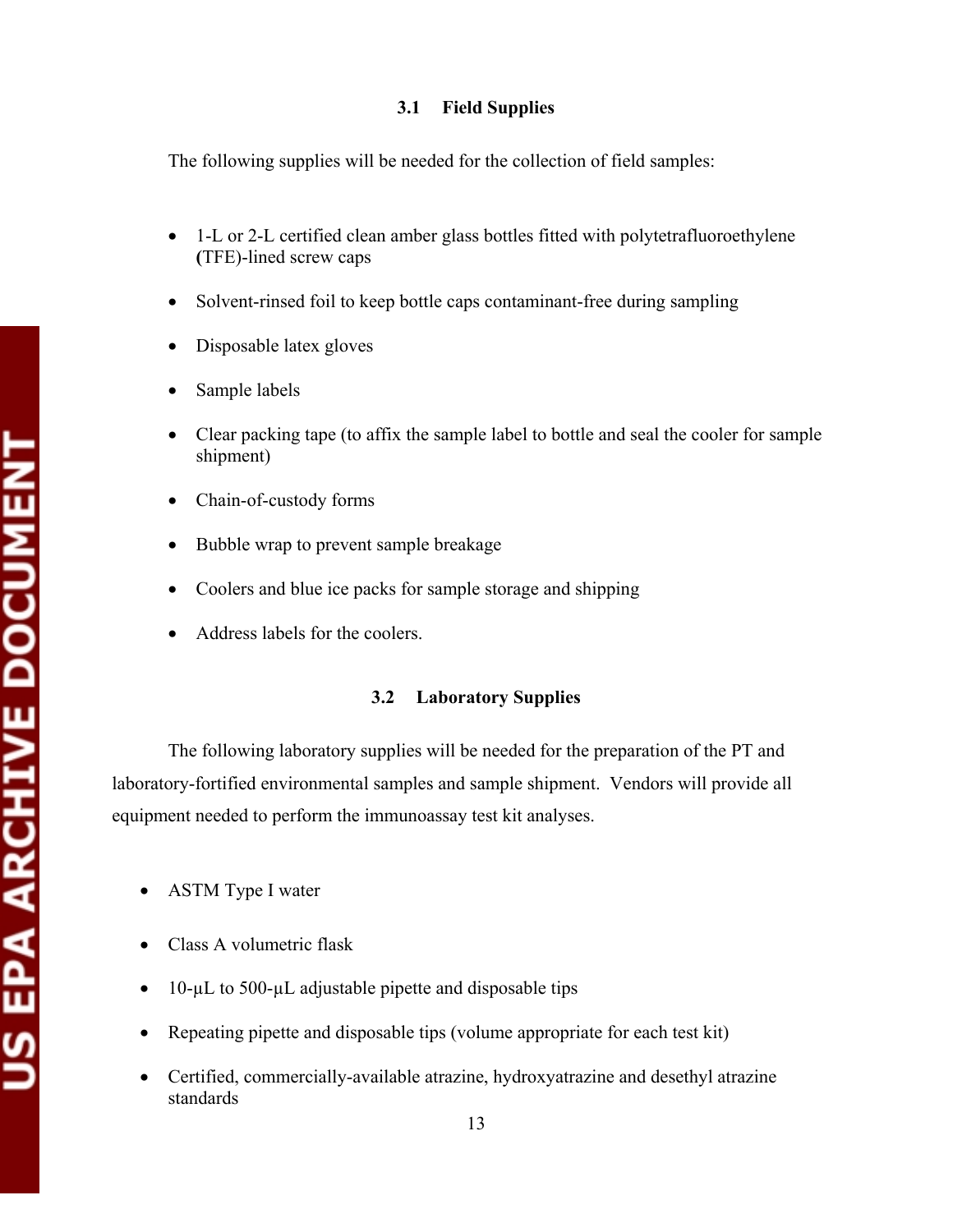#### **3.1 Field Supplies**

The following supplies will be needed for the collection of field samples:

- 1-L or 2-L certified clean amber glass bottles fitted with polytetrafluoroethylene **(**TFE)-lined screw caps
- Solvent-rinsed foil to keep bottle caps contaminant-free during sampling
- Disposable latex gloves
- Sample labels
- Clear packing tape (to affix the sample label to bottle and seal the cooler for sample shipment)
- Chain-of-custody forms
- Bubble wrap to prevent sample breakage
- Coolers and blue ice packs for sample storage and shipping
- Address labels for the coolers.

### **3.2 Laboratory Supplies**

The following laboratory supplies will be needed for the preparation of the PT and laboratory-fortified environmental samples and sample shipment. Vendors will provide all equipment needed to perform the immunoassay test kit analyses.

- ASTM Type I water
- Class A volumetric flask
- 10-µL to 500-µL adjustable pipette and disposable tips
- Repeating pipette and disposable tips (volume appropriate for each test kit)
- Certified, commercially-available atrazine, hydroxyatrazine and desethyl atrazine standards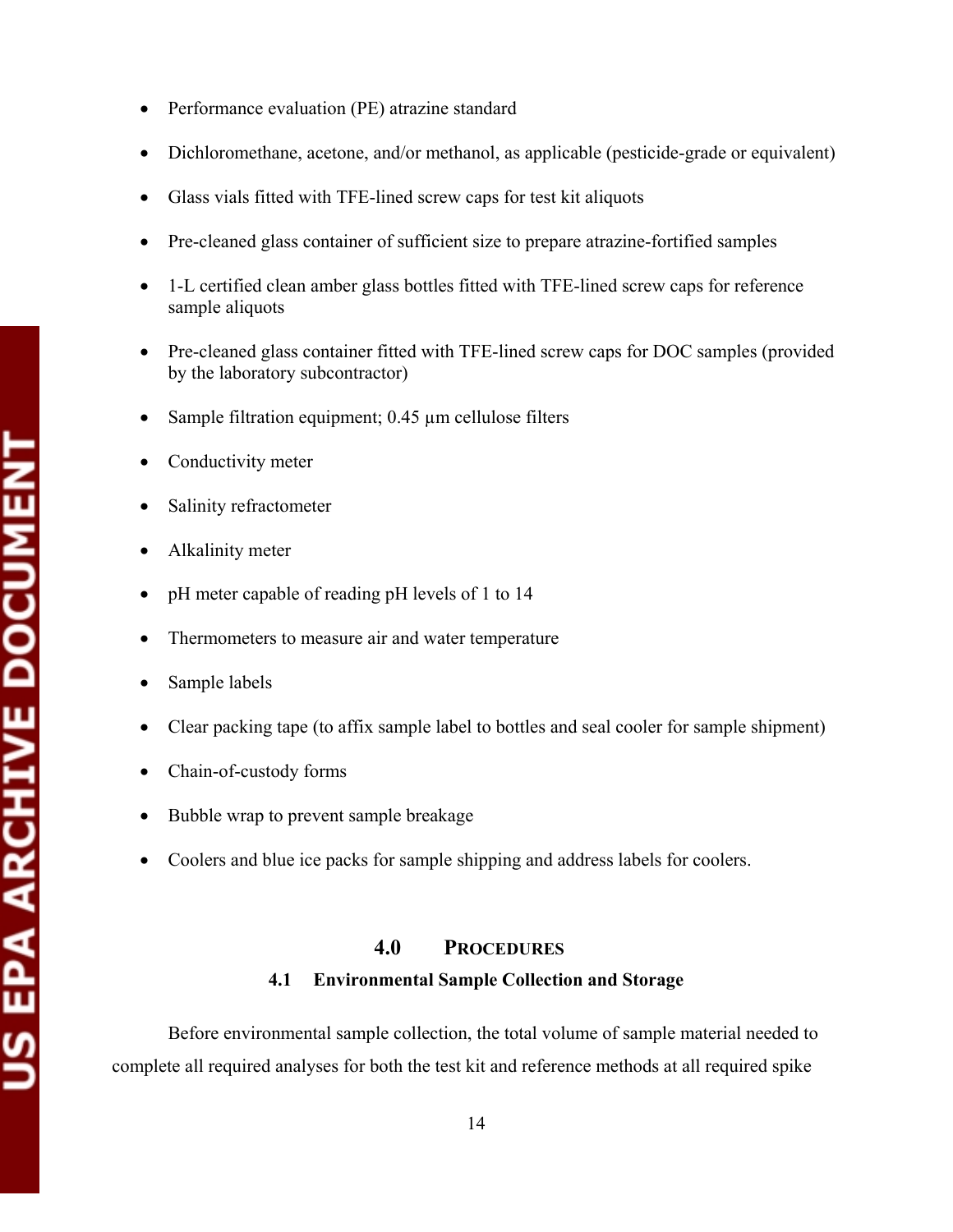- Performance evaluation (PE) atrazine standard
- Dichloromethane, acetone, and/or methanol, as applicable (pesticide-grade or equivalent)
- Glass vials fitted with TFE-lined screw caps for test kit aliquots
- Pre-cleaned glass container of sufficient size to prepare atrazine-fortified samples
- 1-L certified clean amber glass bottles fitted with TFE-lined screw caps for reference sample aliquots
- Pre-cleaned glass container fitted with TFE-lined screw caps for DOC samples (provided by the laboratory subcontractor)
- Sample filtration equipment;  $0.45 \mu$ m cellulose filters
- Conductivity meter
- Salinity refractometer
- Alkalinity meter
- pH meter capable of reading pH levels of 1 to 14
- Thermometers to measure air and water temperature
- Sample labels
- Clear packing tape (to affix sample label to bottles and seal cooler for sample shipment)
- Chain-of-custody forms
- Bubble wrap to prevent sample breakage
- Coolers and blue ice packs for sample shipping and address labels for coolers.

#### **4.0 PROCEDURES**

#### **4.1 Environmental Sample Collection and Storage**

Before environmental sample collection, the total volume of sample material needed to complete all required analyses for both the test kit and reference methods at all required spike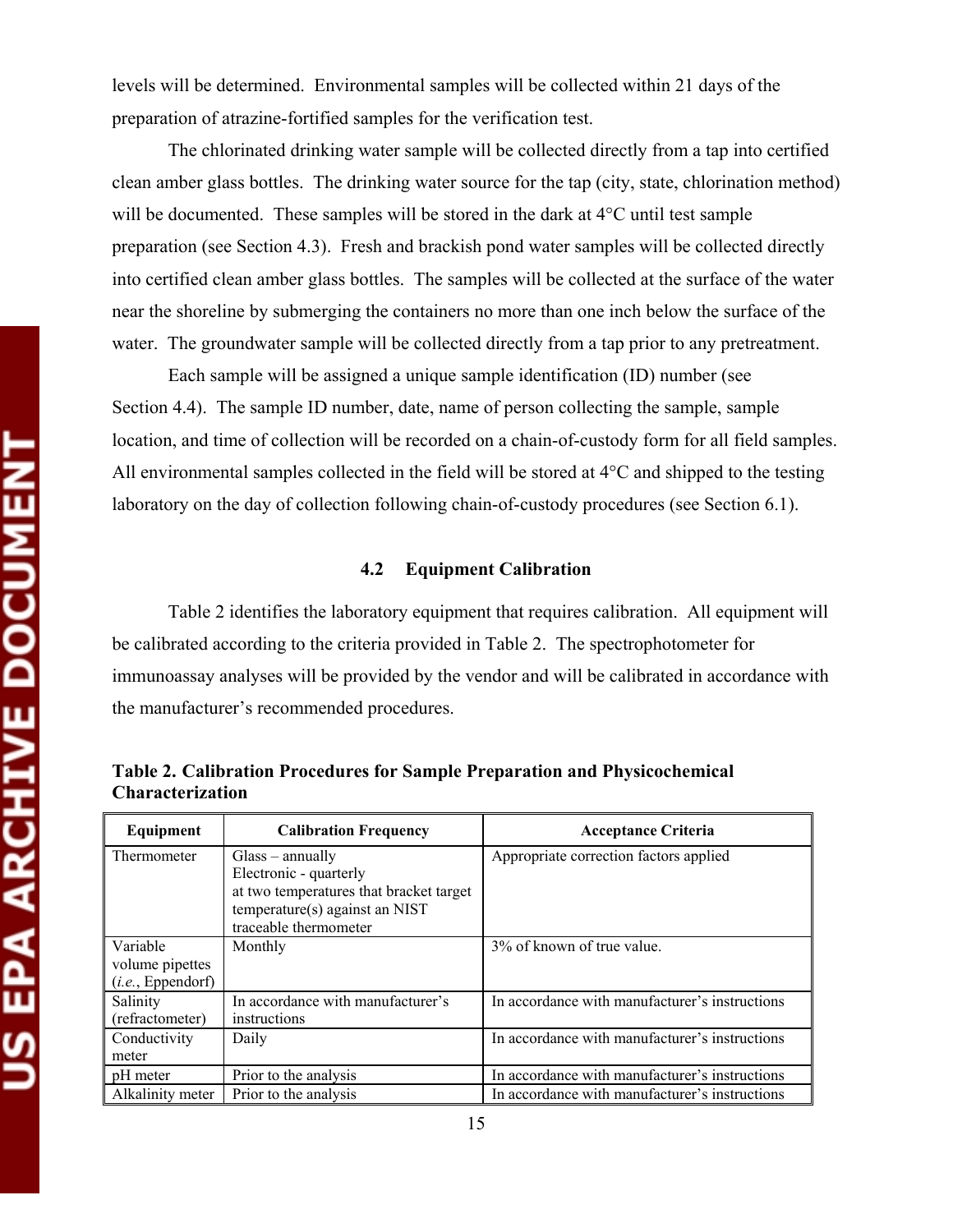levels will be determined. Environmental samples will be collected within 21 days of the preparation of atrazine-fortified samples for the verification test.

The chlorinated drinking water sample will be collected directly from a tap into certified clean amber glass bottles. The drinking water source for the tap (city, state, chlorination method) will be documented. These samples will be stored in the dark at 4<sup>o</sup>C until test sample preparation (see Section 4.3). Fresh and brackish pond water samples will be collected directly into certified clean amber glass bottles. The samples will be collected at the surface of the water near the shoreline by submerging the containers no more than one inch below the surface of the water. The groundwater sample will be collected directly from a tap prior to any pretreatment.

Each sample will be assigned a unique sample identification (ID) number (see Section 4.4). The sample ID number, date, name of person collecting the sample, sample location, and time of collection will be recorded on a chain-of-custody form for all field samples. All environmental samples collected in the field will be stored at 4°C and shipped to the testing laboratory on the day of collection following chain-of-custody procedures (see Section 6.1).

#### **4.2 Equipment Calibration**

Table 2 identifies the laboratory equipment that requires calibration. All equipment will be calibrated according to the criteria provided in Table 2. The spectrophotometer for immunoassay analyses will be provided by the vendor and will be calibrated in accordance with the manufacturer's recommended procedures.

| Equipment         | <b>Calibration Frequency</b>            | <b>Acceptance Criteria</b>                     |  |  |
|-------------------|-----------------------------------------|------------------------------------------------|--|--|
| Thermometer       | $Glass$ – annually                      | Appropriate correction factors applied         |  |  |
|                   | Electronic - quarterly                  |                                                |  |  |
|                   | at two temperatures that bracket target |                                                |  |  |
|                   | temperature(s) against an NIST          |                                                |  |  |
|                   | traceable thermometer                   |                                                |  |  |
| Variable          | Monthly                                 | 3% of known of true value.                     |  |  |
| volume pipettes   |                                         |                                                |  |  |
| (i.e., Eppendorf) |                                         |                                                |  |  |
| Salinity          | In accordance with manufacturer's       | In accordance with manufacturer's instructions |  |  |
| (refractometer)   | instructions                            |                                                |  |  |
| Conductivity      | Daily                                   | In accordance with manufacturer's instructions |  |  |
| meter             |                                         |                                                |  |  |
| pH meter          | Prior to the analysis                   | In accordance with manufacturer's instructions |  |  |
| Alkalinity meter  | Prior to the analysis                   | In accordance with manufacturer's instructions |  |  |

**Table 2. Calibration Procedures for Sample Preparation and Physicochemical Characterization**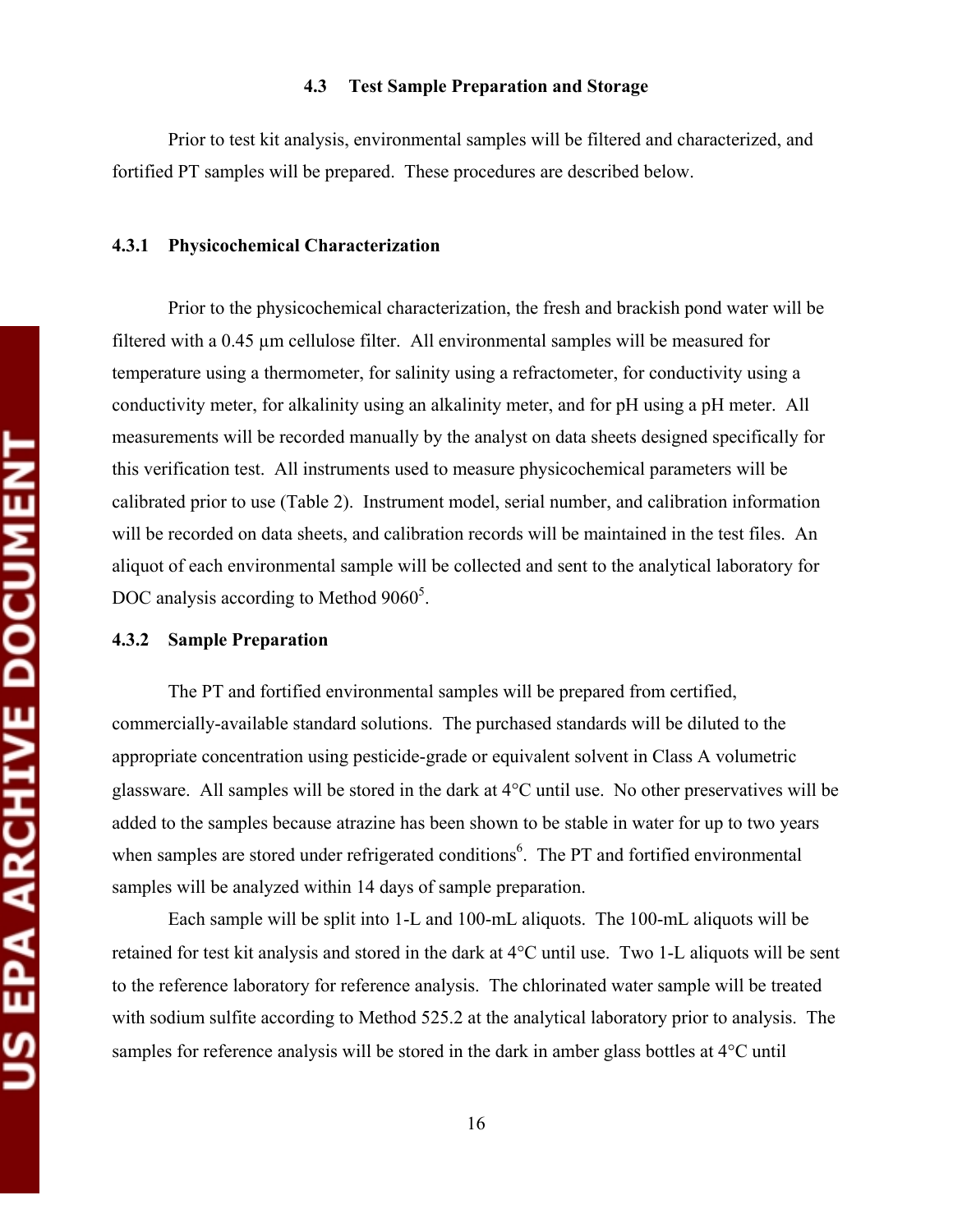#### **4.3 Test Sample Preparation and Storage**

Prior to test kit analysis, environmental samples will be filtered and characterized, and fortified PT samples will be prepared. These procedures are described below.

#### **4.3.1 Physicochemical Characterization**

Prior to the physicochemical characterization, the fresh and brackish pond water will be filtered with a 0.45 µm cellulose filter. All environmental samples will be measured for temperature using a thermometer, for salinity using a refractometer, for conductivity using a conductivity meter, for alkalinity using an alkalinity meter, and for pH using a pH meter. All measurements will be recorded manually by the analyst on data sheets designed specifically for this verification test. All instruments used to measure physicochemical parameters will be calibrated prior to use (Table 2). Instrument model, serial number, and calibration information will be recorded on data sheets, and calibration records will be maintained in the test files. An aliquot of each environmental sample will be collected and sent to the analytical laboratory for DOC analysis according to Method  $9060^5$ .

#### **4.3.2 Sample Preparation**

The PT and fortified environmental samples will be prepared from certified, commercially-available standard solutions. The purchased standards will be diluted to the appropriate concentration using pesticide-grade or equivalent solvent in Class A volumetric glassware. All samples will be stored in the dark at 4°C until use. No other preservatives will be added to the samples because atrazine has been shown to be stable in water for up to two years when samples are stored under refrigerated conditions<sup>6</sup>. The PT and fortified environmental samples will be analyzed within 14 days of sample preparation.

Each sample will be split into 1-L and 100-mL aliquots. The 100-mL aliquots will be retained for test kit analysis and stored in the dark at 4°C until use. Two 1-L aliquots will be sent to the reference laboratory for reference analysis. The chlorinated water sample will be treated with sodium sulfite according to Method 525.2 at the analytical laboratory prior to analysis. The samples for reference analysis will be stored in the dark in amber glass bottles at 4°C until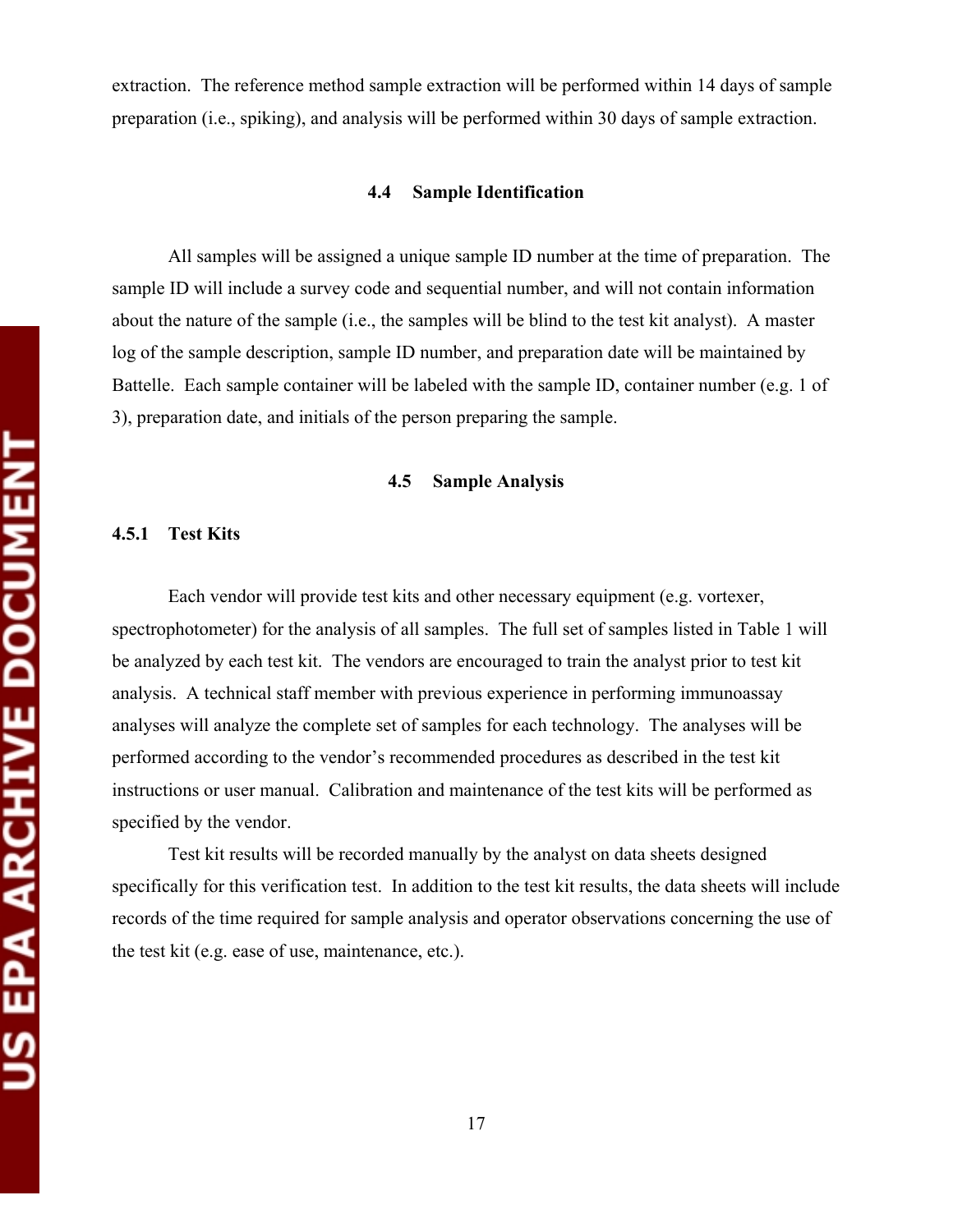extraction. The reference method sample extraction will be performed within 14 days of sample preparation (i.e., spiking), and analysis will be performed within 30 days of sample extraction.

#### **4.4 Sample Identification**

All samples will be assigned a unique sample ID number at the time of preparation. The sample ID will include a survey code and sequential number, and will not contain information about the nature of the sample (i.e., the samples will be blind to the test kit analyst). A master log of the sample description, sample ID number, and preparation date will be maintained by Battelle. Each sample container will be labeled with the sample ID, container number (e.g. 1 of 3), preparation date, and initials of the person preparing the sample.

#### **4.5 Sample Analysis**

#### **4.5.1 Test Kits**

Each vendor will provide test kits and other necessary equipment (e.g. vortexer, spectrophotometer) for the analysis of all samples. The full set of samples listed in Table 1 will be analyzed by each test kit. The vendors are encouraged to train the analyst prior to test kit analysis. A technical staff member with previous experience in performing immunoassay analyses will analyze the complete set of samples for each technology. The analyses will be performed according to the vendor's recommended procedures as described in the test kit instructions or user manual. Calibration and maintenance of the test kits will be performed as specified by the vendor.

Test kit results will be recorded manually by the analyst on data sheets designed specifically for this verification test. In addition to the test kit results, the data sheets will include records of the time required for sample analysis and operator observations concerning the use of the test kit (e.g. ease of use, maintenance, etc.).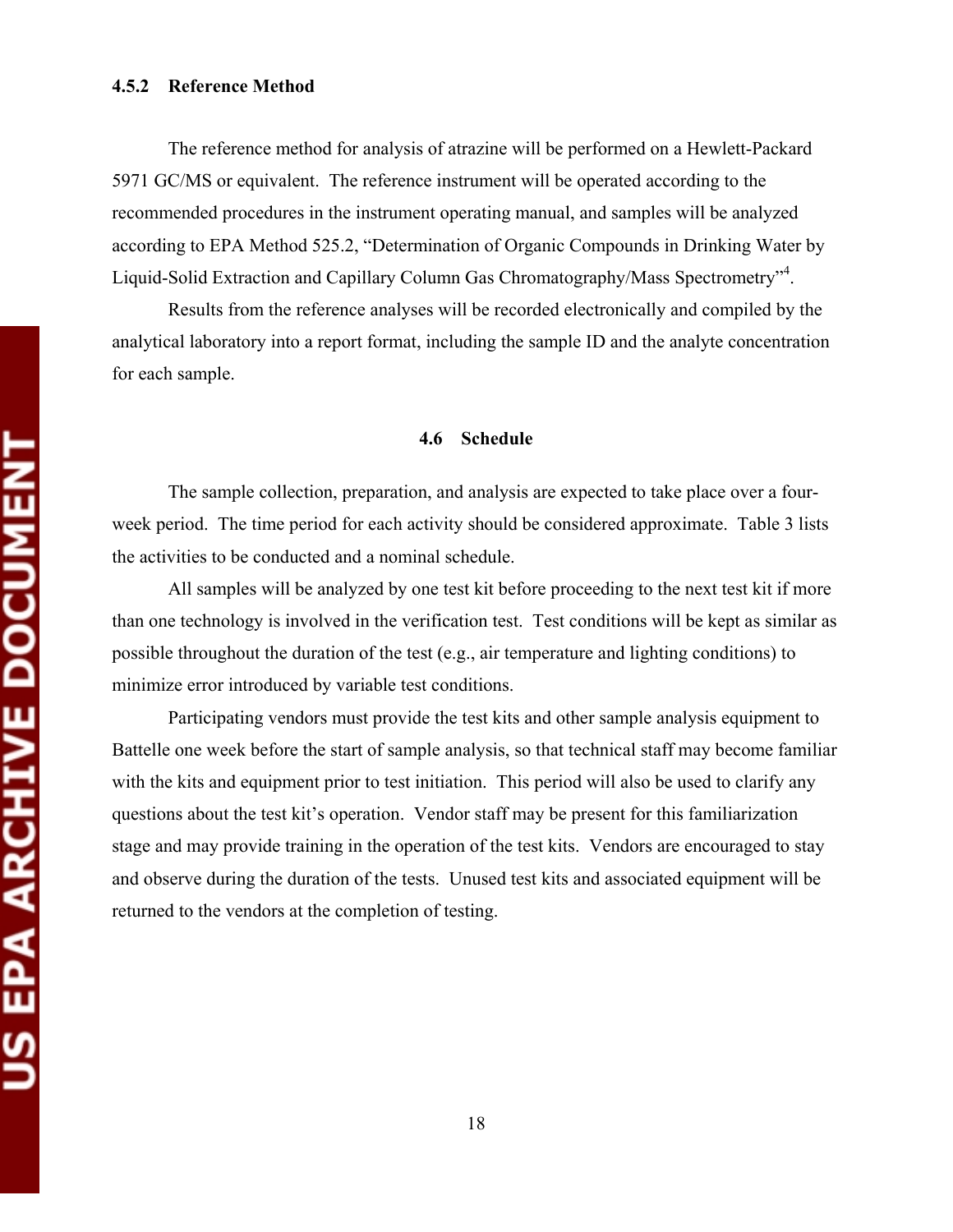The reference method for analysis of atrazine will be performed on a Hewlett-Packard 5971 GC/MS or equivalent. The reference instrument will be operated according to the recommended procedures in the instrument operating manual, and samples will be analyzed according to EPA Method 525.2, "Determination of Organic Compounds in Drinking Water by Liquid-Solid Extraction and Capillary Column Gas Chromatography/Mass Spectrometry"<sup>4</sup> .

Results from the reference analyses will be recorded electronically and compiled by the analytical laboratory into a report format, including the sample ID and the analyte concentration for each sample.

#### **4.6 Schedule**

The sample collection, preparation, and analysis are expected to take place over a fourweek period. The time period for each activity should be considered approximate. Table 3 lists the activities to be conducted and a nominal schedule.

All samples will be analyzed by one test kit before proceeding to the next test kit if more than one technology is involved in the verification test. Test conditions will be kept as similar as possible throughout the duration of the test (e.g., air temperature and lighting conditions) to minimize error introduced by variable test conditions.

Participating vendors must provide the test kits and other sample analysis equipment to Battelle one week before the start of sample analysis, so that technical staff may become familiar with the kits and equipment prior to test initiation. This period will also be used to clarify any questions about the test kit's operation. Vendor staff may be present for this familiarization stage and may provide training in the operation of the test kits. Vendors are encouraged to stay and observe during the duration of the tests. Unused test kits and associated equipment will be returned to the vendors at the completion of testing.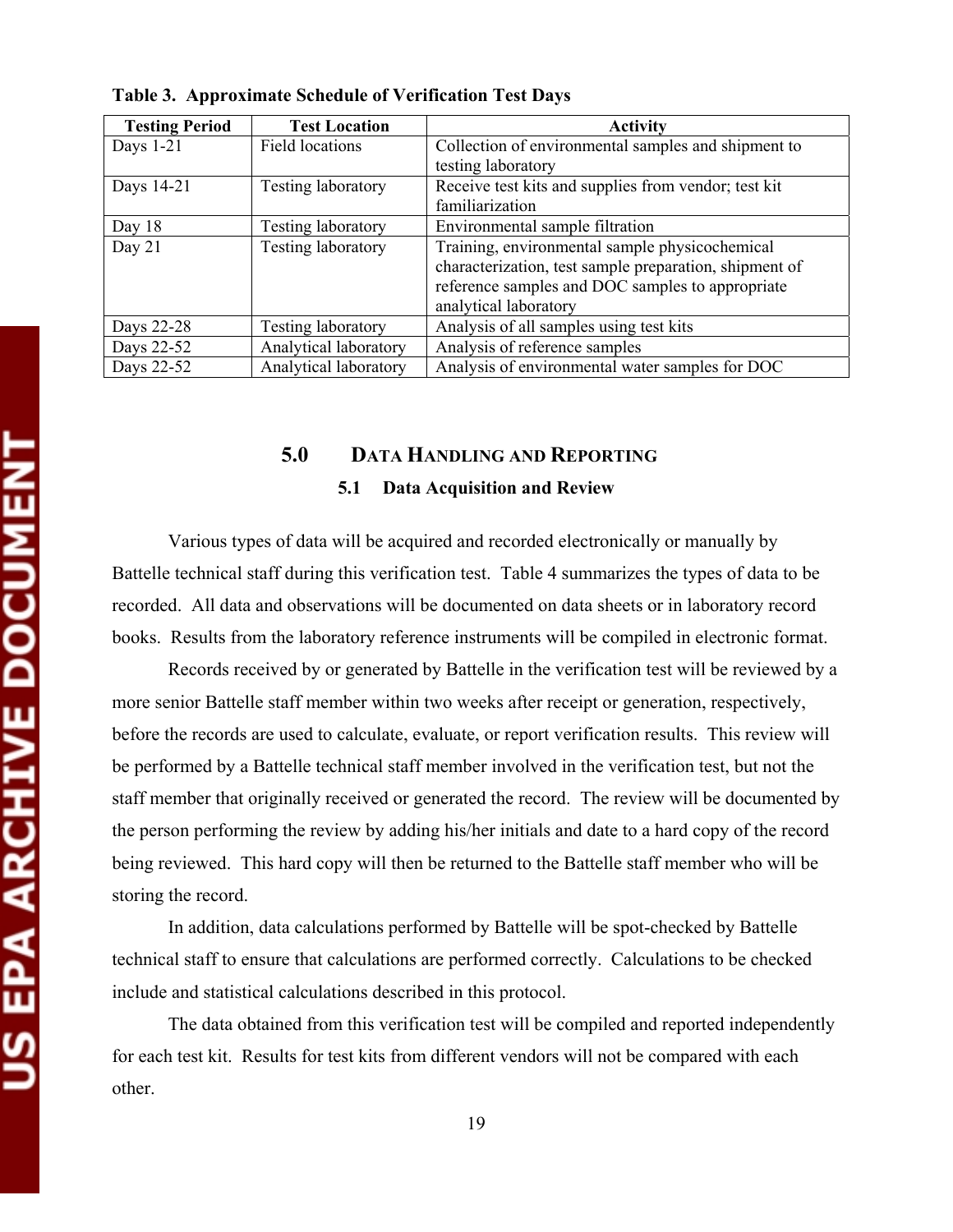| <b>Testing Period</b> | <b>Test Location</b>      | <b>Activity</b>                                        |  |
|-----------------------|---------------------------|--------------------------------------------------------|--|
| Days 1-21             | Field locations           | Collection of environmental samples and shipment to    |  |
|                       |                           | testing laboratory                                     |  |
| Days 14-21            | <b>Testing laboratory</b> | Receive test kits and supplies from vendor; test kit   |  |
|                       |                           | familiarization                                        |  |
| Day 18                | <b>Testing laboratory</b> | Environmental sample filtration                        |  |
| Day $21$              | <b>Testing laboratory</b> | Training, environmental sample physicochemical         |  |
|                       |                           | characterization, test sample preparation, shipment of |  |
|                       |                           | reference samples and DOC samples to appropriate       |  |
|                       |                           | analytical laboratory                                  |  |
| Days 22-28            | <b>Testing laboratory</b> | Analysis of all samples using test kits                |  |
| Days 22-52            | Analytical laboratory     | Analysis of reference samples                          |  |
| Days 22-52            | Analytical laboratory     | Analysis of environmental water samples for DOC        |  |

**Table 3. Approximate Schedule of Verification Test Days** 

# **5.0 DATA HANDLING AND REPORTING 5.1 Data Acquisition and Review**

Various types of data will be acquired and recorded electronically or manually by Battelle technical staff during this verification test. Table 4 summarizes the types of data to be recorded. All data and observations will be documented on data sheets or in laboratory record books. Results from the laboratory reference instruments will be compiled in electronic format.

Records received by or generated by Battelle in the verification test will be reviewed by a more senior Battelle staff member within two weeks after receipt or generation, respectively, before the records are used to calculate, evaluate, or report verification results. This review will be performed by a Battelle technical staff member involved in the verification test, but not the staff member that originally received or generated the record. The review will be documented by the person performing the review by adding his/her initials and date to a hard copy of the record being reviewed. This hard copy will then be returned to the Battelle staff member who will be storing the record.

In addition, data calculations performed by Battelle will be spot-checked by Battelle technical staff to ensure that calculations are performed correctly. Calculations to be checked include and statistical calculations described in this protocol.

The data obtained from this verification test will be compiled and reported independently for each test kit. Results for test kits from different vendors will not be compared with each other.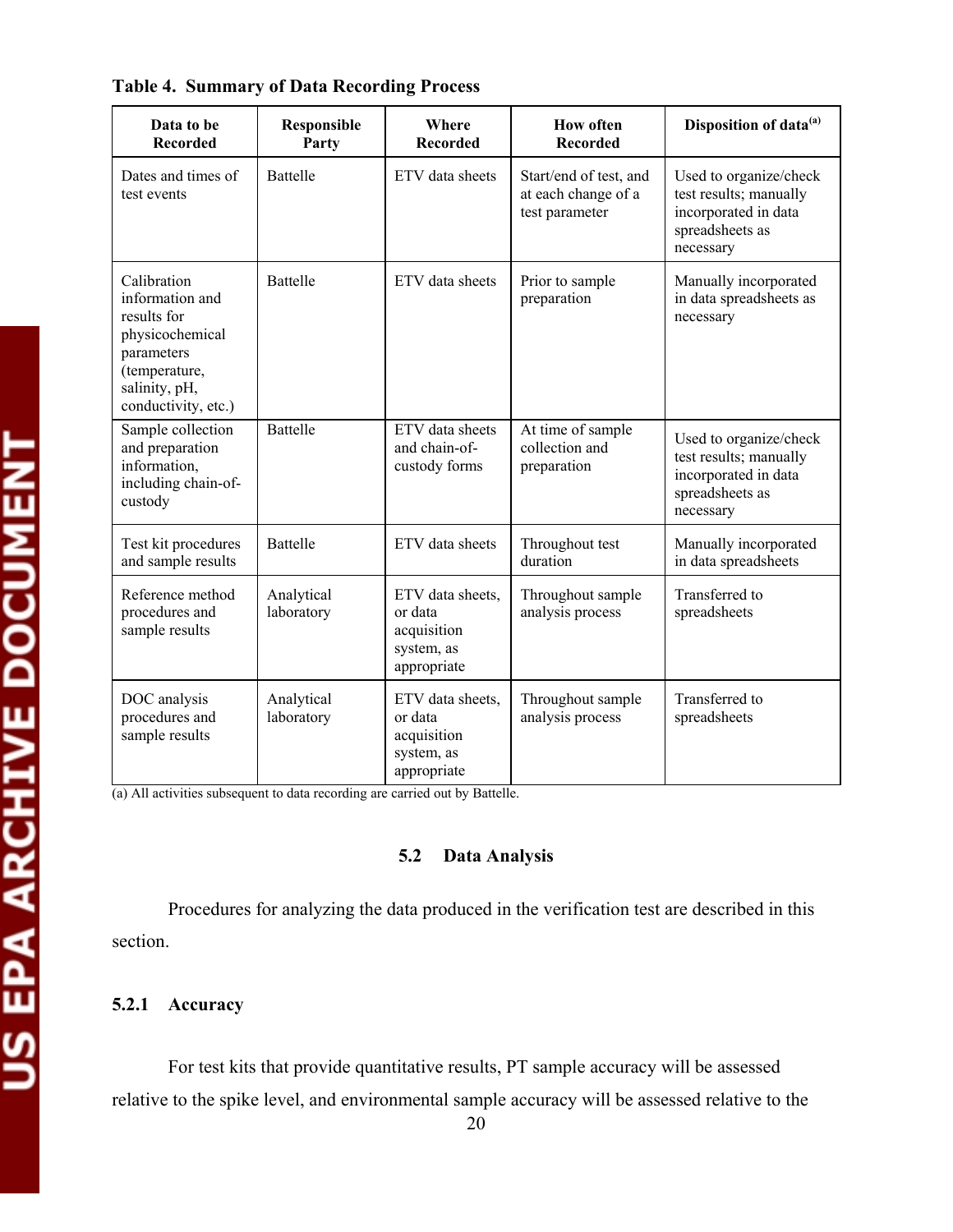| Data to be<br><b>Recorded</b>                                                                                                           | Responsible<br>Party     | Where<br><b>Recorded</b>                                                | <b>How often</b><br><b>Recorded</b>                             | Disposition of data <sup>(a)</sup>                                                                       |
|-----------------------------------------------------------------------------------------------------------------------------------------|--------------------------|-------------------------------------------------------------------------|-----------------------------------------------------------------|----------------------------------------------------------------------------------------------------------|
| Dates and times of<br>test events                                                                                                       | <b>Battelle</b>          | ETV data sheets                                                         | Start/end of test, and<br>at each change of a<br>test parameter | Used to organize/check<br>test results; manually<br>incorporated in data<br>spreadsheets as<br>necessary |
| Calibration<br>information and<br>results for<br>physicochemical<br>parameters<br>(temperature,<br>salinity, pH,<br>conductivity, etc.) | <b>Battelle</b>          | ETV data sheets                                                         | Prior to sample<br>preparation                                  | Manually incorporated<br>in data spreadsheets as<br>necessary                                            |
| Sample collection<br>and preparation<br>information,<br>including chain-of-<br>custody                                                  | <b>Battelle</b>          | ETV data sheets<br>and chain-of-<br>custody forms                       | At time of sample<br>collection and<br>preparation              | Used to organize/check<br>test results; manually<br>incorporated in data<br>spreadsheets as<br>necessary |
| Test kit procedures<br>and sample results                                                                                               | <b>Battelle</b>          | ETV data sheets                                                         | Throughout test<br>duration                                     | Manually incorporated<br>in data spreadsheets                                                            |
| Reference method<br>procedures and<br>sample results                                                                                    | Analytical<br>laboratory | ETV data sheets.<br>or data<br>acquisition<br>system, as<br>appropriate | Throughout sample<br>analysis process                           | Transferred to<br>spreadsheets                                                                           |
| DOC analysis<br>procedures and<br>sample results                                                                                        | Analytical<br>laboratory | ETV data sheets.<br>or data<br>acquisition<br>system, as<br>appropriate | Throughout sample<br>analysis process                           | Transferred to<br>spreadsheets                                                                           |

### **Table 4. Summary of Data Recording Process**

(a) All activities subsequent to data recording are carried out by Battelle.

#### **5.2 Data Analysis**

Procedures for analyzing the data produced in the verification test are described in this section.

### **5.2.1 Accuracy**

For test kits that provide quantitative results, PT sample accuracy will be assessed relative to the spike level, and environmental sample accuracy will be assessed relative to the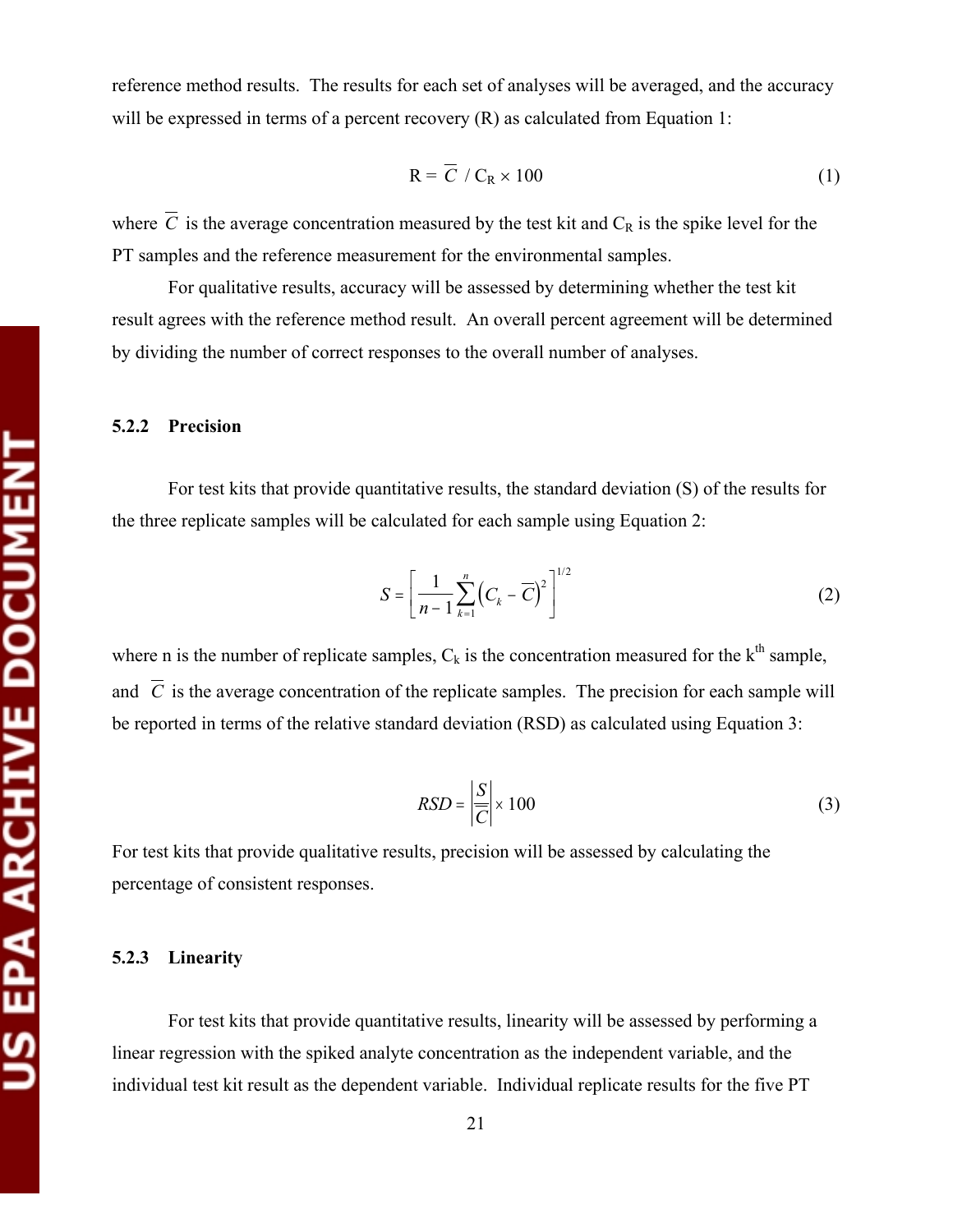reference method results. The results for each set of analyses will be averaged, and the accuracy will be expressed in terms of a percent recovery (R) as calculated from Equation 1:

$$
R = \overline{C} / C_R \times 100
$$
 (1)

where  $\overline{C}$  is the average concentration measured by the test kit and  $C_R$  is the spike level for the PT samples and the reference measurement for the environmental samples.

For qualitative results, accuracy will be assessed by determining whether the test kit result agrees with the reference method result. An overall percent agreement will be determined by dividing the number of correct responses to the overall number of analyses.

#### **5.2.2 Precision**

For test kits that provide quantitative results, the standard deviation (S) of the results for the three replicate samples will be calculated for each sample using Equation 2:

$$
S = \left[\frac{1}{n-1} \sum_{k=1}^{n} \left(C_k - \overline{C}\right)^2\right]^{1/2} \tag{2}
$$

where n is the number of replicate samples,  $C_k$  is the concentration measured for the  $k<sup>th</sup>$  sample, and  $\overline{C}$  is the average concentration of the replicate samples. The precision for each sample will be reported in terms of the relative standard deviation (RSD) as calculated using Equation 3:

$$
RSD = \left| \frac{S}{\overline{C}} \right| \times 100 \tag{3}
$$

For test kits that provide qualitative results, precision will be assessed by calculating the percentage of consistent responses.

#### **5.2.3 Linearity**

For test kits that provide quantitative results, linearity will be assessed by performing a linear regression with the spiked analyte concentration as the independent variable, and the individual test kit result as the dependent variable. Individual replicate results for the five PT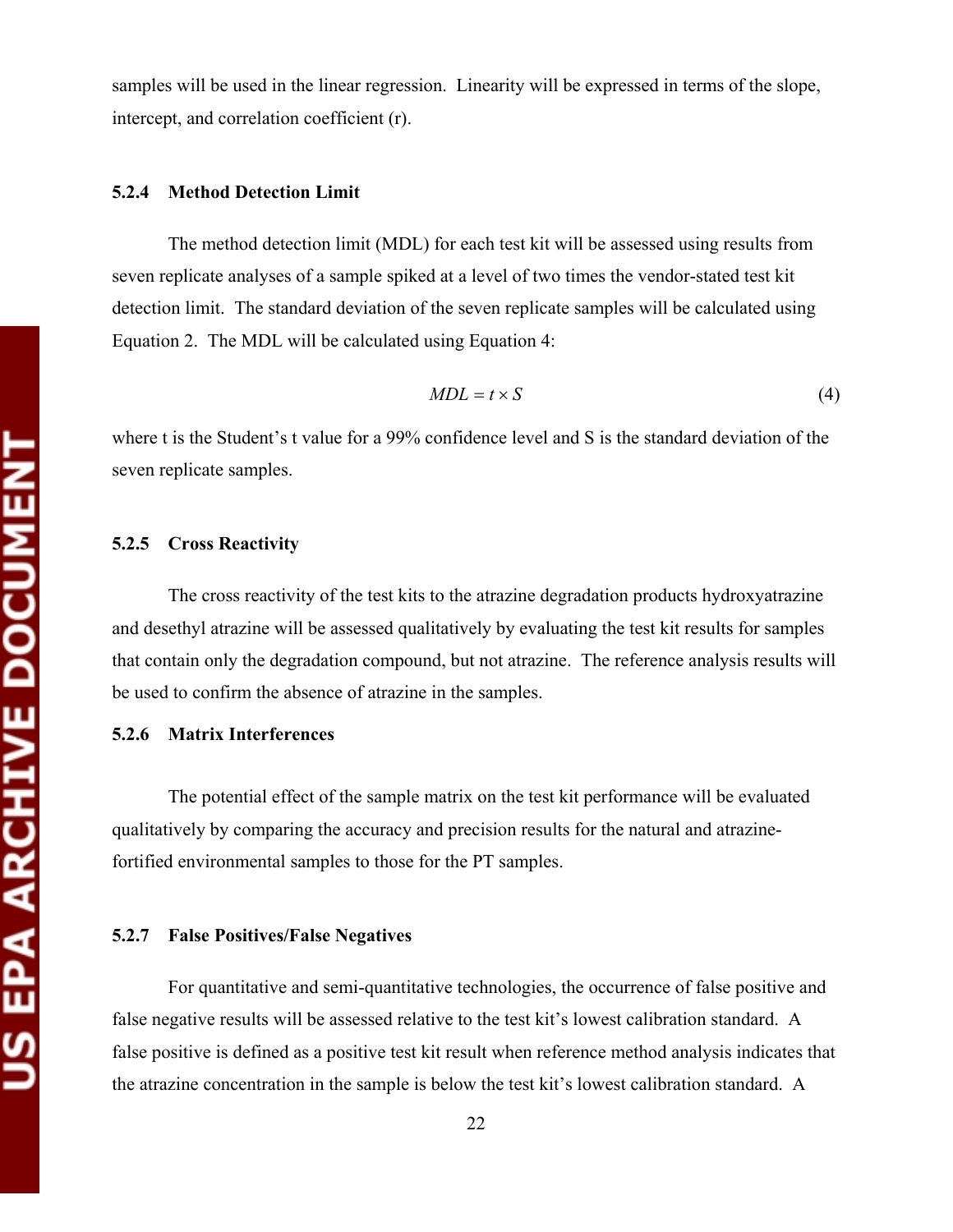samples will be used in the linear regression. Linearity will be expressed in terms of the slope, intercept, and correlation coefficient (r).

#### **5.2.4 Method Detection Limit**

The method detection limit (MDL) for each test kit will be assessed using results from seven replicate analyses of a sample spiked at a level of two times the vendor-stated test kit detection limit. The standard deviation of the seven replicate samples will be calculated using Equation 2. The MDL will be calculated using Equation 4:

$$
MDL = t \times S \tag{4}
$$

where t is the Student's t value for a 99% confidence level and S is the standard deviation of the seven replicate samples.

#### **5.2.5 Cross Reactivity**

The cross reactivity of the test kits to the atrazine degradation products hydroxyatrazine and desethyl atrazine will be assessed qualitatively by evaluating the test kit results for samples that contain only the degradation compound, but not atrazine. The reference analysis results will be used to confirm the absence of atrazine in the samples.

#### **5.2.6 Matrix Interferences**

The potential effect of the sample matrix on the test kit performance will be evaluated qualitatively by comparing the accuracy and precision results for the natural and atrazinefortified environmental samples to those for the PT samples.

#### **5.2.7 False Positives/False Negatives**

For quantitative and semi-quantitative technologies, the occurrence of false positive and false negative results will be assessed relative to the test kit's lowest calibration standard. A false positive is defined as a positive test kit result when reference method analysis indicates that the atrazine concentration in the sample is below the test kit's lowest calibration standard. A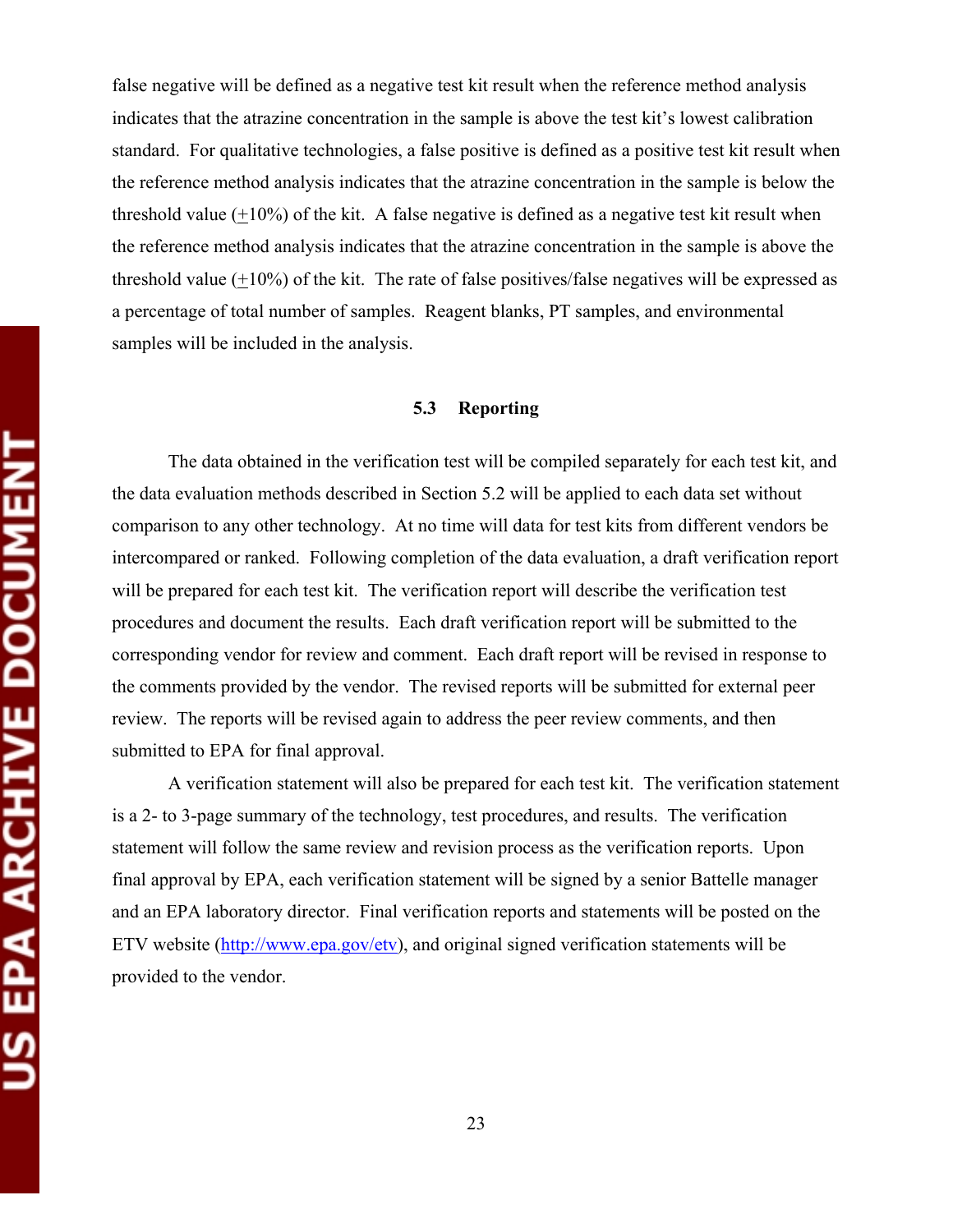false negative will be defined as a negative test kit result when the reference method analysis indicates that the atrazine concentration in the sample is above the test kit's lowest calibration standard. For qualitative technologies, a false positive is defined as a positive test kit result when the reference method analysis indicates that the atrazine concentration in the sample is below the threshold value  $(+10\%)$  of the kit. A false negative is defined as a negative test kit result when the reference method analysis indicates that the atrazine concentration in the sample is above the threshold value (+10%) of the kit. The rate of false positives/false negatives will be expressed as a percentage of total number of samples. Reagent blanks, PT samples, and environmental samples will be included in the analysis.

#### **5.3 Reporting**

The data obtained in the verification test will be compiled separately for each test kit, and the data evaluation methods described in Section 5.2 will be applied to each data set without comparison to any other technology. At no time will data for test kits from different vendors be intercompared or ranked. Following completion of the data evaluation, a draft verification report will be prepared for each test kit. The verification report will describe the verification test procedures and document the results. Each draft verification report will be submitted to the corresponding vendor for review and comment. Each draft report will be revised in response to the comments provided by the vendor. The revised reports will be submitted for external peer review. The reports will be revised again to address the peer review comments, and then submitted to EPA for final approval.

A verification statement will also be prepared for each test kit. The verification statement is a 2- to 3-page summary of the technology, test procedures, and results. The verification statement will follow the same review and revision process as the verification reports. Upon final approval by EPA, each verification statement will be signed by a senior Battelle manager and an EPA laboratory director. Final verification reports and statements will be posted on the ETV website (http://www.epa.gov/etv), and original signed verification statements will be provided to the vendor.

23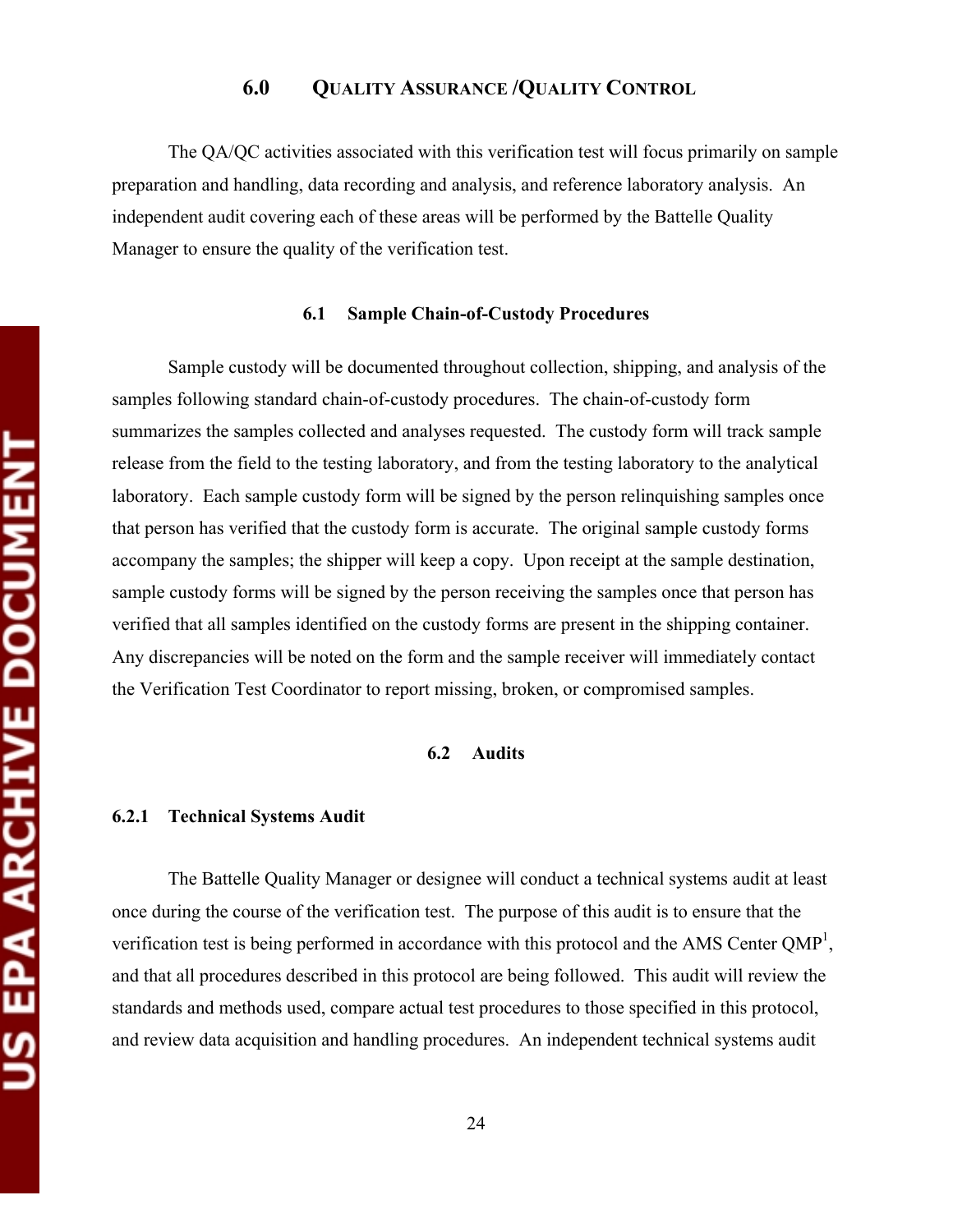# **6.0 QUALITY ASSURANCE /QUALITY CONTROL**

The QA/QC activities associated with this verification test will focus primarily on sample preparation and handling, data recording and analysis, and reference laboratory analysis. An independent audit covering each of these areas will be performed by the Battelle Quality Manager to ensure the quality of the verification test.

#### **6.1 Sample Chain-of-Custody Procedures**

Sample custody will be documented throughout collection, shipping, and analysis of the samples following standard chain-of-custody procedures. The chain-of-custody form summarizes the samples collected and analyses requested. The custody form will track sample release from the field to the testing laboratory, and from the testing laboratory to the analytical laboratory. Each sample custody form will be signed by the person relinquishing samples once that person has verified that the custody form is accurate. The original sample custody forms accompany the samples; the shipper will keep a copy. Upon receipt at the sample destination, sample custody forms will be signed by the person receiving the samples once that person has verified that all samples identified on the custody forms are present in the shipping container. Any discrepancies will be noted on the form and the sample receiver will immediately contact the Verification Test Coordinator to report missing, broken, or compromised samples.

#### **6.2 Audits**

#### **6.2.1 Technical Systems Audit**

The Battelle Quality Manager or designee will conduct a technical systems audit at least once during the course of the verification test. The purpose of this audit is to ensure that the verification test is being performed in accordance with this protocol and the AMS Center QMP<sup>1</sup>, and that all procedures described in this protocol are being followed. This audit will review the standards and methods used, compare actual test procedures to those specified in this protocol, and review data acquisition and handling procedures. An independent technical systems audit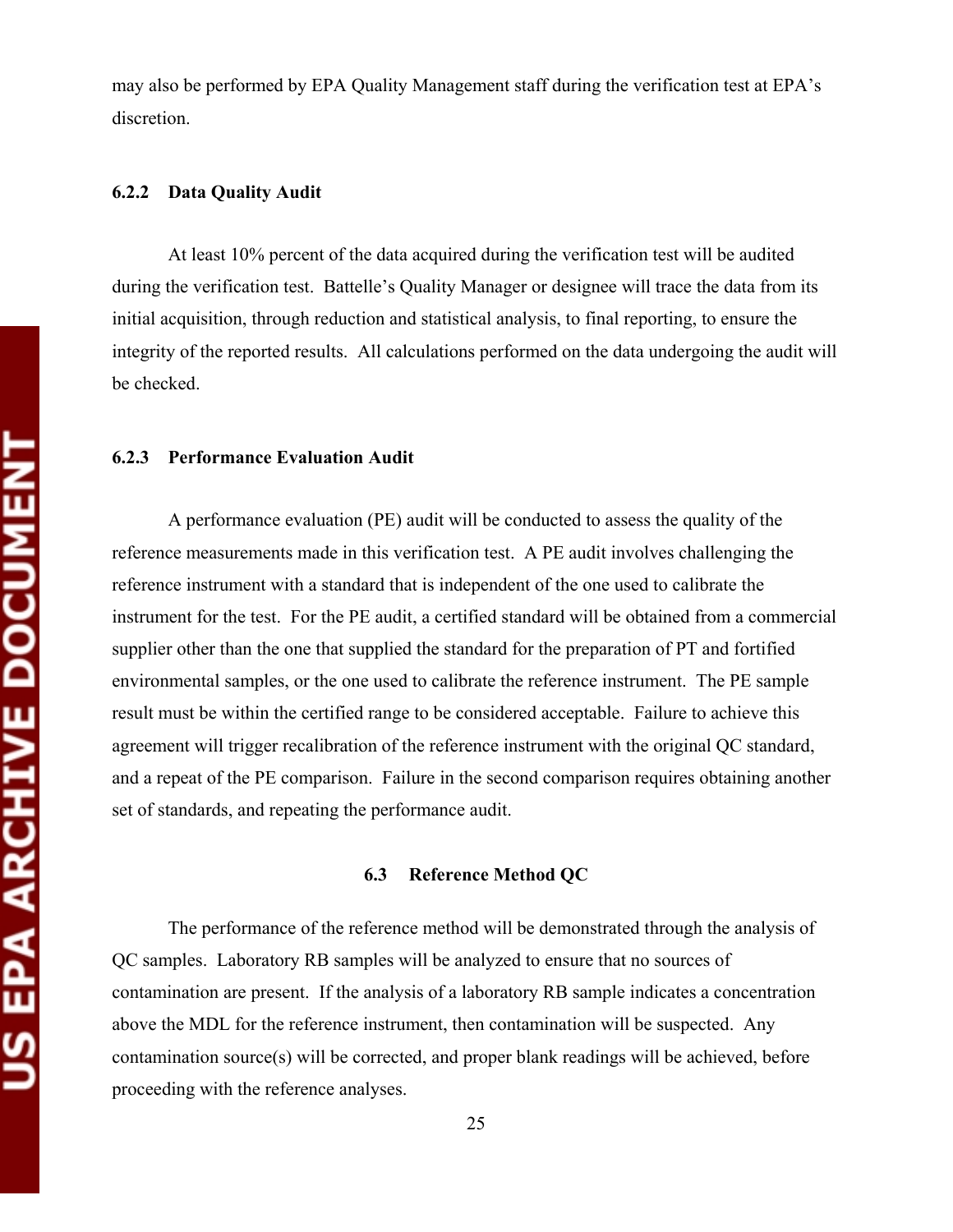may also be performed by EPA Quality Management staff during the verification test at EPA's discretion.

#### **6.2.2 Data Quality Audit**

At least 10% percent of the data acquired during the verification test will be audited during the verification test. Battelle's Quality Manager or designee will trace the data from its initial acquisition, through reduction and statistical analysis, to final reporting, to ensure the integrity of the reported results. All calculations performed on the data undergoing the audit will be checked.

#### **6.2.3 Performance Evaluation Audit**

A performance evaluation (PE) audit will be conducted to assess the quality of the reference measurements made in this verification test. A PE audit involves challenging the reference instrument with a standard that is independent of the one used to calibrate the instrument for the test. For the PE audit, a certified standard will be obtained from a commercial supplier other than the one that supplied the standard for the preparation of PT and fortified environmental samples, or the one used to calibrate the reference instrument. The PE sample result must be within the certified range to be considered acceptable. Failure to achieve this agreement will trigger recalibration of the reference instrument with the original QC standard, and a repeat of the PE comparison. Failure in the second comparison requires obtaining another set of standards, and repeating the performance audit.

#### **6.3 Reference Method QC**

The performance of the reference method will be demonstrated through the analysis of QC samples. Laboratory RB samples will be analyzed to ensure that no sources of contamination are present. If the analysis of a laboratory RB sample indicates a concentration above the MDL for the reference instrument, then contamination will be suspected. Any contamination source(s) will be corrected, and proper blank readings will be achieved, before proceeding with the reference analyses.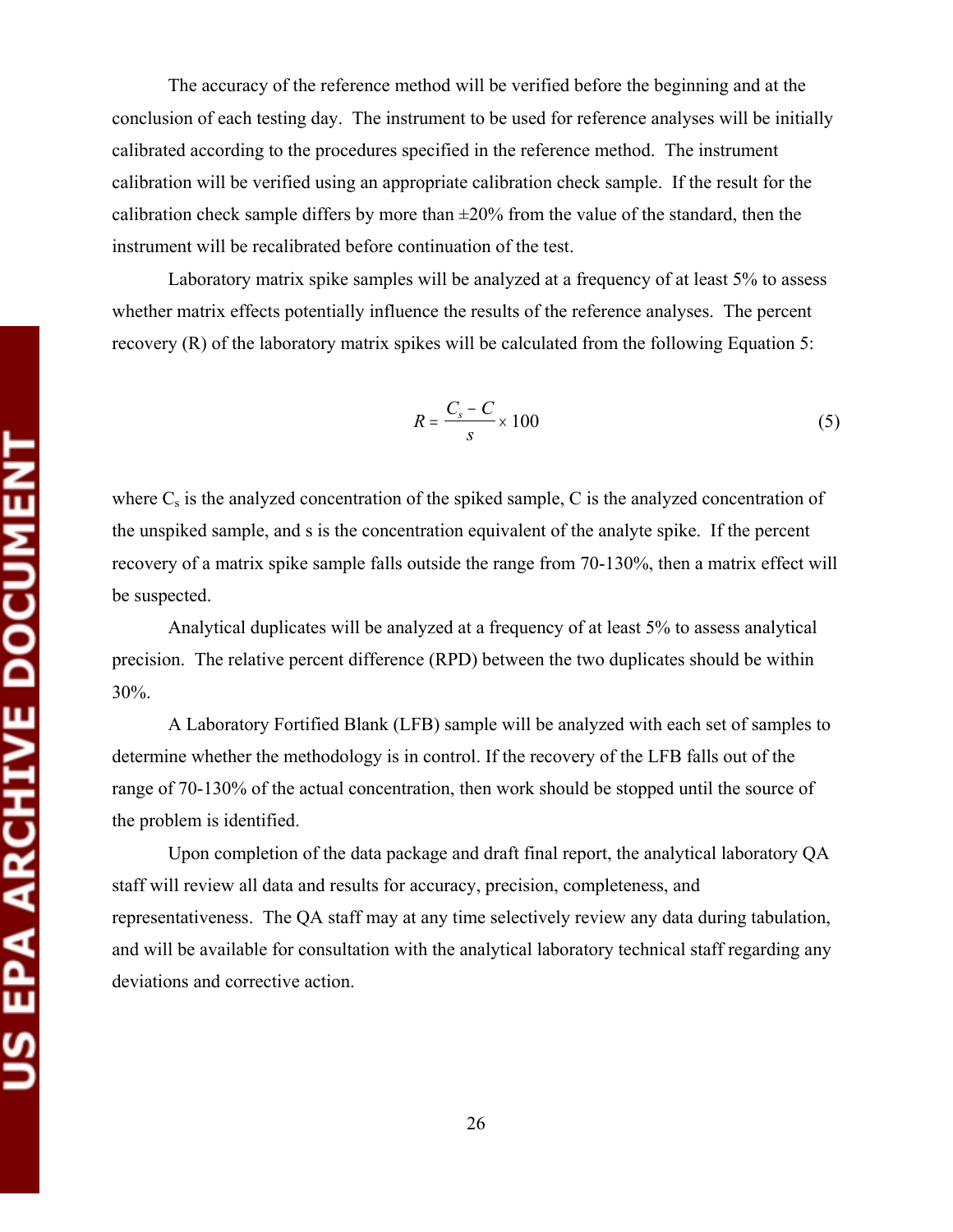The accuracy of the reference method will be verified before the beginning and at the conclusion of each testing day. The instrument to be used for reference analyses will be initially calibrated according to the procedures specified in the reference method. The instrument calibration will be verified using an appropriate calibration check sample. If the result for the calibration check sample differs by more than  $\pm 20\%$  from the value of the standard, then the instrument will be recalibrated before continuation of the test.

Laboratory matrix spike samples will be analyzed at a frequency of at least 5% to assess whether matrix effects potentially influence the results of the reference analyses. The percent recovery (R) of the laboratory matrix spikes will be calculated from the following Equation 5:

$$
R = \frac{C_s - C}{s} \times 100\tag{5}
$$

where  $C_s$  is the analyzed concentration of the spiked sample, C is the analyzed concentration of the unspiked sample, and s is the concentration equivalent of the analyte spike. If the percent recovery of a matrix spike sample falls outside the range from 70-130%, then a matrix effect will be suspected.

Analytical duplicates will be analyzed at a frequency of at least 5% to assess analytical precision. The relative percent difference (RPD) between the two duplicates should be within 30%.

A Laboratory Fortified Blank (LFB) sample will be analyzed with each set of samples to determine whether the methodology is in control. If the recovery of the LFB falls out of the range of 70-130% of the actual concentration, then work should be stopped until the source of the problem is identified.

Upon completion of the data package and draft final report, the analytical laboratory QA staff will review all data and results for accuracy, precision, completeness, and representativeness. The QA staff may at any time selectively review any data during tabulation, and will be available for consultation with the analytical laboratory technical staff regarding any deviations and corrective action.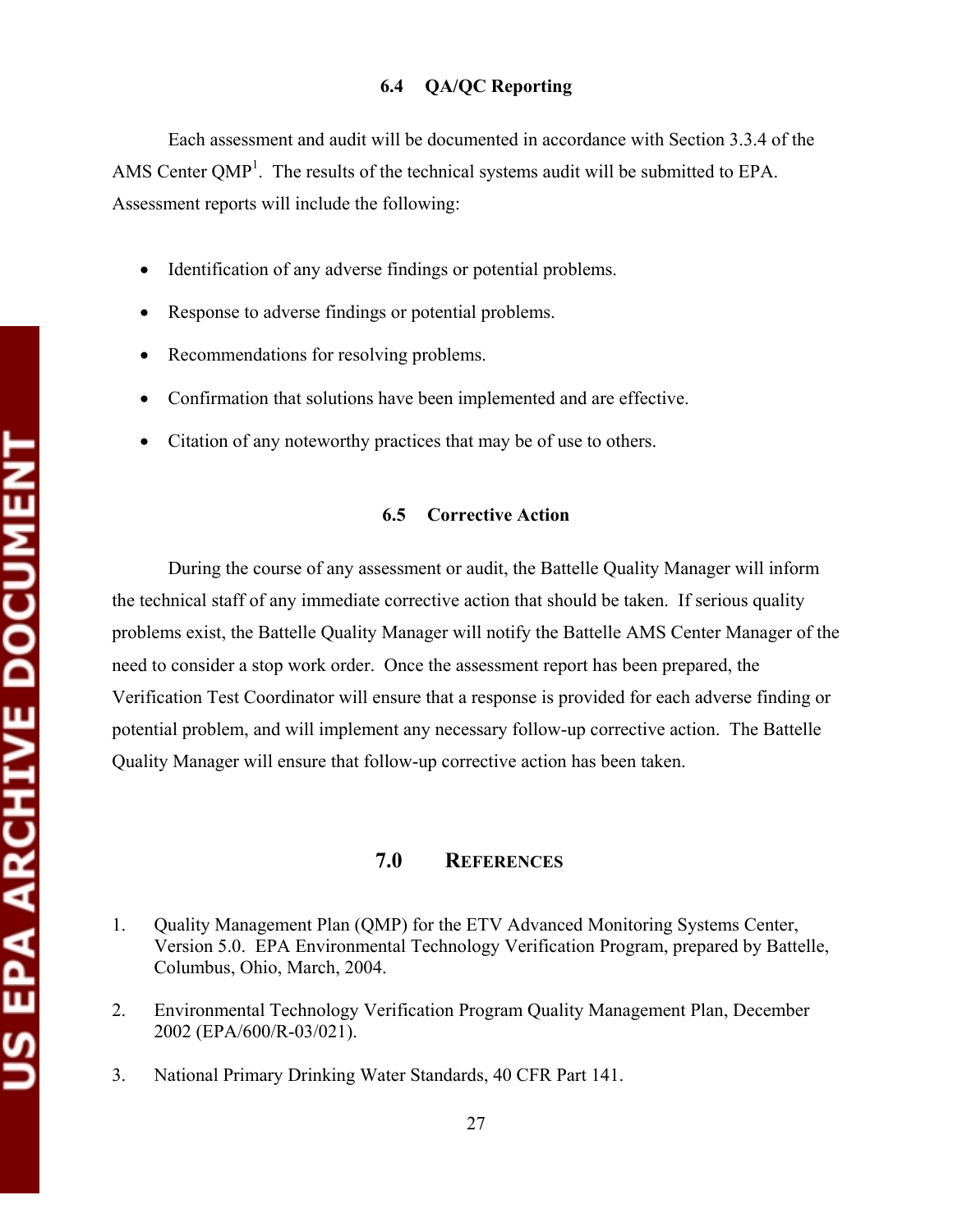#### **6.4 QA/QC Reporting**

Each assessment and audit will be documented in accordance with Section 3.3.4 of the AMS Center QMP<sup>1</sup>. The results of the technical systems audit will be submitted to EPA. Assessment reports will include the following:

- Identification of any adverse findings or potential problems.
- Response to adverse findings or potential problems.
- Recommendations for resolving problems.
- Confirmation that solutions have been implemented and are effective.
- Citation of any noteworthy practices that may be of use to others.

#### **6.5 Corrective Action**

During the course of any assessment or audit, the Battelle Quality Manager will inform the technical staff of any immediate corrective action that should be taken. If serious quality problems exist, the Battelle Quality Manager will notify the Battelle AMS Center Manager of the need to consider a stop work order. Once the assessment report has been prepared, the Verification Test Coordinator will ensure that a response is provided for each adverse finding or potential problem, and will implement any necessary follow-up corrective action. The Battelle Quality Manager will ensure that follow-up corrective action has been taken.

### **7.0 REFERENCES**

- 1. Quality Management Plan (QMP) for the ETV Advanced Monitoring Systems Center, Version 5.0. EPA Environmental Technology Verification Program, prepared by Battelle, Columbus, Ohio, March, 2004.
- 2. Environmental Technology Verification Program Quality Management Plan, December 2002 (EPA/600/R-03/021).
- 3. National Primary Drinking Water Standards, 40 CFR Part 141.